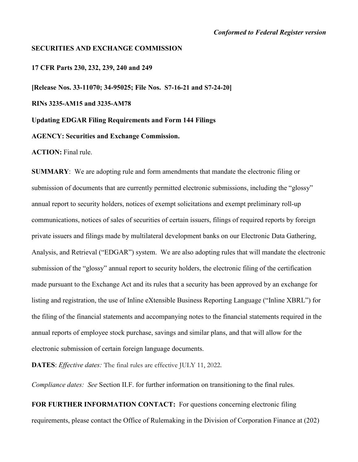#### **SECURITIES AND EXCHANGE COMMISSION**

**17 CFR Parts 230, 232, 239, 240 and 249** 

**[Release Nos. 33-11070; 34-95025; File Nos. S7-16-21 and S7-24-20] RINs 3235-AM15 and 3235-AM78 Updating EDGAR Filing Requirements and Form 144 Filings AGENCY: Securities and Exchange Commission. ACTION:** Final rule.

**SUMMARY**: We are adopting rule and form amendments that mandate the electronic filing or submission of documents that are currently permitted electronic submissions, including the "glossy" annual report to security holders, notices of exempt solicitations and exempt preliminary roll-up communications, notices of sales of securities of certain issuers, filings of required reports by foreign private issuers and filings made by multilateral development banks on our Electronic Data Gathering, Analysis, and Retrieval ("EDGAR") system. We are also adopting rules that will mandate the electronic submission of the "glossy" annual report to security holders, the electronic filing of the certification made pursuant to the Exchange Act and its rules that a security has been approved by an exchange for listing and registration, the use of Inline eXtensible Business Reporting Language ("Inline XBRL") for the filing of the financial statements and accompanying notes to the financial statements required in the annual reports of employee stock purchase, savings and similar plans, and that will allow for the electronic submission of certain foreign language documents.

**DATES**: *Effective dates:* The final rules are effective JULY 11, 2022.

*Compliance dates: See* Section II.F. for further information on transitioning to the final rules.

**FOR FURTHER INFORMATION CONTACT:** For questions concerning electronic filing requirements, please contact the Office of Rulemaking in the Division of Corporation Finance at (202)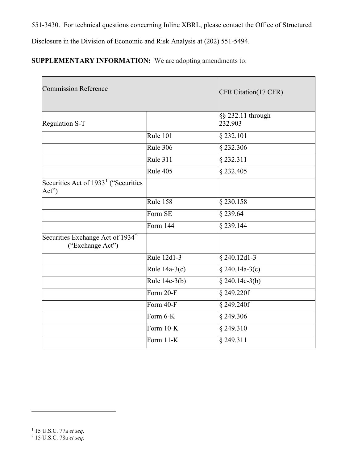551-3430. For technical questions concerning Inline XBRL, please contact the Office of Structured

Disclosure in the Division of Economic and Risk Analysis at (202) 551-5494.

**SUPPLEMENTARY INFORMATION:** We are adopting amendments to:

<span id="page-1-1"></span><span id="page-1-0"></span>

| <b>Commission Reference</b>                                      | CFR Citation(17 CFR) |                              |
|------------------------------------------------------------------|----------------------|------------------------------|
| Regulation S-T                                                   |                      | §§ 232.11 through<br>232.903 |
|                                                                  | Rule 101             | § 232.101                    |
|                                                                  | Rule 306             | $§$ 232.306                  |
|                                                                  | <b>Rule 311</b>      | § 232.311                    |
|                                                                  | Rule 405             | § 232.405                    |
| Securities Act of 1933 <sup>1</sup> ("Securities<br>Act")        |                      |                              |
|                                                                  | Rule 158             | $§ 230.\overline{158}$       |
|                                                                  | Form SE              | \$239.64                     |
|                                                                  | Form 144             | § 239.144                    |
| Securities Exchange Act of 1934 <sup>2</sup><br>("Exchange Act") |                      |                              |
|                                                                  | Rule 12d1-3          | $§$ 240.12d1-3               |
|                                                                  | Rule $14a-3(c)$      | $§ 240.14a-3(c)$             |
|                                                                  | Rule 14c-3(b)        | § 240.14c-3(b)               |
|                                                                  | Form $20-F$          | § 249.220f                   |
|                                                                  | Form 40-F            | $§$ 249.240f                 |
|                                                                  | Form $6-K$           | $§$ 249.306                  |
|                                                                  | Form 10-K            | § 249.310                    |
|                                                                  | Form 11-K            | § 249.311                    |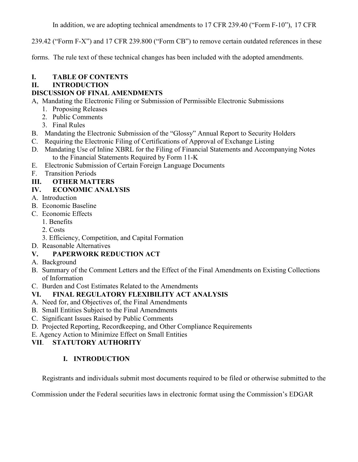In addition, we are adopting technical amendments to 17 CFR 239.40 ("Form F-10"), 17 CFR

239.42 ("Form F-X") and 17 CFR 239.800 ("Form CB") to remove certain outdated references in these

forms. The rule text of these technical changes has been included with the adopted amendments.

# **I. TABLE OF CONTENTS**

# **II. INTRODUCTION**

# **DISCUSSION OF FINAL AMENDMENTS**

A, Mandating the Electronic Filing or Submission of Permissible Electronic Submissions

- 1. Proposing Releases
- 2. Public Comments
- 3. Final Rules
- B. Mandating the Electronic Submission of the "Glossy" Annual Report to Security Holders
- C. Requiring the Electronic Filing of Certifications of Approval of Exchange Listing
- D. Mandating Use of Inline XBRL for the Filing of Financial Statements and Accompanying Notes to the Financial Statements Required by Form 11-K
- E. Electronic Submission of Certain Foreign Language Documents
- F. Transition Periods
- **III. OTHER MATTERS**
- **IV. ECONOMIC ANALYSIS**
- A. Introduction
- B. Economic Baseline
- C. Economic Effects
	- 1. Benefits
	- 2. Costs
	- 3. Efficiency, Competition, and Capital Formation
- D. Reasonable Alternatives

# **V. PAPERWORK REDUCTION ACT**

- A. Background
- B. Summary of the Comment Letters and the Effect of the Final Amendments on Existing Collections of Information
- C. Burden and Cost Estimates Related to the Amendments

# **VI. FINAL REGULATORY FLEXIBILITY ACT ANALYSIS**

- A. Need for, and Objectives of, the Final Amendments
- B. Small Entities Subject to the Final Amendments
- C. Significant Issues Raised by Public Comments
- D. Projected Reporting, Recordkeeping, and Other Compliance Requirements
- E. Agency Action to Minimize Effect on Small Entities

# **VII**. **STATUTORY AUTHORITY**

# **I. INTRODUCTION**

Registrants and individuals submit most documents required to be filed or otherwise submitted to the

Commission under the Federal securities laws in electronic format using the Commission's EDGAR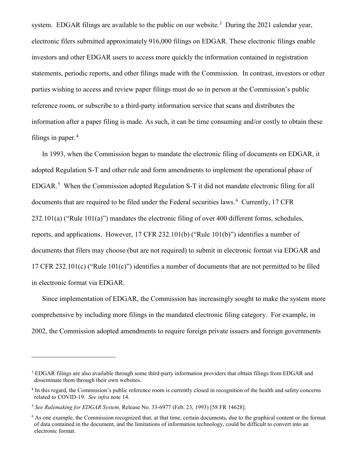system. EDGAR filings are available to the public on our website.<sup>[3](#page-3-0)</sup> During the 2021 calendar year, electronic filers submitted approximately 916,000 filings on EDGAR. These electronic filings enable investors and other EDGAR users to access more quickly the information contained in registration statements, periodic reports, and other filings made with the Commission. In contrast, investors or other parties wishing to access and review paper filings must do so in person at the Commission's public reference room, or subscribe to a third-party information service that scans and distributes the information after a paper filing is made. As such, it can be time consuming and/or costly to obtain these filings in paper. $4$ 

In 1993, when the Commission began to mandate the electronic filing of documents on EDGAR, it adopted Regulation S-T and other rule and form amendments to implement the operational phase of EDGAR.<sup>[5](#page-3-2)</sup> When the Commission adopted Regulation S-T it did not mandate electronic filing for all documents that are required to be filed under the Federal securities laws.<sup>[6](#page-3-3)</sup> Currently, 17 CFR 232.101(a) ("Rule 101(a)") mandates the electronic filing of over 400 different forms, schedules, reports, and applications. However, 17 CFR 232.101(b) ("Rule 101(b)") identifies a number of documents that filers may choose (but are not required) to submit in electronic format via EDGAR and 17 CFR 232.101(c) ("Rule 101(c)") identifies a number of documents that are not permitted to be filed in electronic format via EDGAR.

Since implementation of EDGAR, the Commission has increasingly sought to make the system more comprehensive by including more filings in the mandated electronic filing category. For example, in 2002, the Commission adopted amendments to require foreign private issuers and foreign governments

<span id="page-3-0"></span><sup>&</sup>lt;sup>3</sup> EDGAR filings are also available through some third-party information providers that obtain filings from EDGAR and disseminate them through their own websites.

<span id="page-3-1"></span><sup>&</sup>lt;sup>4</sup> In this regard, the Commission's public reference room is currently closed in recognition of the health and safety concerns related to COVID-19. *See infra* note 14.

<span id="page-3-2"></span><sup>5</sup> *See Rulemaking for EDGAR System,* Release No. 33-6977 (Feb. 23, 1993) [58 FR 14628].

<span id="page-3-3"></span> $6$  As one example, the Commission recognized that, at that time, certain documents, due to the graphical content or the format of data contained in the document, and the limitations of information technology, could be difficult to convert into an electronic format.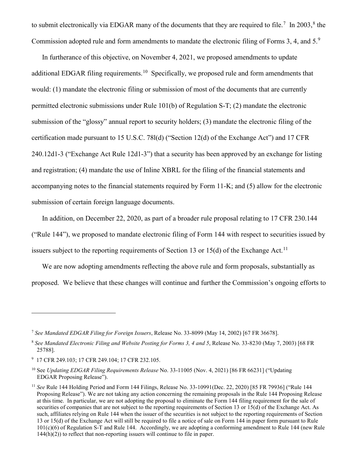to submit electronically via EDGAR many of the documents that they are required to file.<sup>[7](#page-4-0)</sup> In 2003,<sup>[8](#page-4-1)</sup> the Commission adopted rule and form amendments to mandate the electronic filing of Forms 3, 4, and 5.<sup>[9](#page-4-2)</sup>

In furtherance of this objective, on November 4, 2021, we proposed amendments to update additional EDGAR filing requirements.<sup>10</sup> Specifically, we proposed rule and form amendments that would: (1) mandate the electronic filing or submission of most of the documents that are currently permitted electronic submissions under Rule 101(b) of Regulation S-T; (2) mandate the electronic submission of the "glossy" annual report to security holders; (3) mandate the electronic filing of the certification made pursuant to 15 U.S.C. 78l(d) ("Section 12(d) of the Exchange Act") and 17 CFR 240.12d1-3 ("Exchange Act Rule 12d1-3") that a security has been approved by an exchange for listing and registration; (4) mandate the use of Inline XBRL for the filing of the financial statements and accompanying notes to the financial statements required by Form 11-K; and (5) allow for the electronic submission of certain foreign language documents.

In addition, on December 22, 2020, as part of a broader rule proposal relating to 17 CFR 230.144 ("Rule 144"), we proposed to mandate electronic filing of Form 144 with respect to securities issued by issuers subject to the reporting requirements of Section 13 or 15(d) of the Exchange Act.<sup>11</sup>

We are now adopting amendments reflecting the above rule and form proposals, substantially as proposed. We believe that these changes will continue and further the Commission's ongoing efforts to

<span id="page-4-0"></span><sup>7</sup> *See Mandated EDGAR Filing for Foreign Issuers*, Release No. 33-8099 (May 14, 2002) [67 FR 36678].

<span id="page-4-1"></span><sup>8</sup> *See Mandated Electronic Filing and Website Posting for Forms 3, 4 and 5*, Release No. 33-8230 (May 7, 2003) [68 FR 25788].

<span id="page-4-2"></span><sup>9</sup> 17 CFR 249.103; 17 CFR 249.104; 17 CFR 232.105.

<span id="page-4-3"></span><sup>10</sup> See *Updating EDGAR Filing Requirements Release* No. 33-11005 (Nov. 4, 2021) [86 FR 66231] ("Updating EDGAR Proposing Release").

<span id="page-4-4"></span><sup>11</sup> *See* Rule 144 Holding Period and Form 144 Filings, Release No. 33-10991(Dec. 22, 2020) [85 FR 79936] ("Rule 144 Proposing Release"). We are not taking any action concerning the remaining proposals in the Rule 144 Proposing Release at this time. In particular, we are not adopting the proposal to eliminate the Form 144 filing requirement for the sale of securities of companies that are not subject to the reporting requirements of Section 13 or 15(d) of the Exchange Act. As such, affiliates relying on Rule 144 when the issuer of the securities is not subject to the reporting requirements of Section 13 or 15(d) of the Exchange Act will still be required to file a notice of sale on Form 144 in paper form pursuant to Rule 101(c)(6) of Regulation S-T and Rule 144. Accordingly, we are adopting a conforming amendment to Rule 144 (new Rule 144(h)(2)) to reflect that non-reporting issuers will continue to file in paper.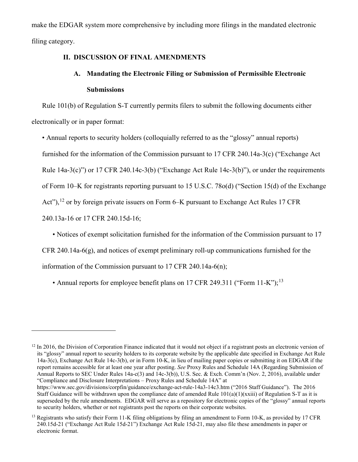make the EDGAR system more comprehensive by including more filings in the mandated electronic filing category.

# **II. DISCUSSION OF FINAL AMENDMENTS**

# **A. Mandating the Electronic Filing or Submission of Permissible Electronic Submissions**

Rule 101(b) of Regulation S-T currently permits filers to submit the following documents either electronically or in paper format:

• Annual reports to security holders (colloquially referred to as the "glossy" annual reports)

furnished for the information of the Commission pursuant to 17 CFR 240.14a-3(c) ("Exchange Act

Rule 14a-3(c)") or 17 CFR 240.14c-3(b) ("Exchange Act Rule 14c-3(b)"), or under the requirements

of Form 10–K for registrants reporting pursuant to 15 U.S.C. 78o(d) ("Section 15(d) of the Exchange

Act"), <sup>[12](#page-5-0)</sup> or by foreign private issuers on Form 6–K pursuant to Exchange Act Rules 17 CFR

240.13a-16 or 17 CFR 240.15d-16;

 $\overline{a}$ 

• Notices of exempt solicitation furnished for the information of the Commission pursuant to 17

CFR 240.14a-6(g), and notices of exempt preliminary roll-up communications furnished for the

information of the Commission pursuant to 17 CFR 240.14a-6(n);

• Annual reports for employee benefit plans on 17 CFR 249.311 ("Form  $11-K$ ");<sup>[13](#page-5-1)</sup>

<span id="page-5-0"></span> $12 \text{ In } 2016$ , the Division of Corporation Finance indicated that it would not object if a registrant posts an electronic version of its "glossy" annual report to security holders to its corporate website by the applicable date specified in Exchange Act Rule 14a-3(c), Exchange Act Rule 14c-3(b), or in Form 10-K, in lieu of mailing paper copies or submitting it on EDGAR if the report remains accessible for at least one year after posting. *See* Proxy Rules and Schedule 14A (Regarding Submission of Annual Reports to SEC Under Rules 14a-c(3) and 14c-3(b)), U.S. Sec. & Exch. Comm'n (Nov. 2, 2016), available under "Compliance and Disclosure Interpretations – Proxy Rules and Schedule 14A" at https://www.sec.gov/divisions/corpfin/guidance/exchange-act-rule-14a3-14c3.htm ("2016 Staff Guidance"). The 2016 Staff Guidance will be withdrawn upon the compliance date of amended Rule  $101(a)(1)(xxiii)$  of Regulation S-T as it is superseded by the rule amendments. EDGAR will serve as a repository for electronic copies of the "glossy" annual reports to security holders, whether or not registrants post the reports on their corporate websites.

<span id="page-5-1"></span><sup>&</sup>lt;sup>13</sup> Registrants who satisfy their Form 11-K filing obligations by filing an amendment to Form 10-K, as provided by 17 CFR 240.15d-21 ("Exchange Act Rule 15d-21") Exchange Act Rule 15d-21, may also file these amendments in paper or electronic format.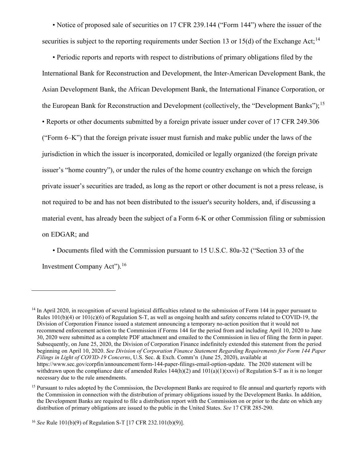• Notice of proposed sale of securities on 17 CFR 239.144 ("Form 144") where the issuer of the securities is subject to the reporting requirements under Section 13 or 15(d) of the Exchange Act:<sup>[14](#page-6-0)</sup>

• Periodic reports and reports with respect to distributions of primary obligations filed by the International Bank for Reconstruction and Development, the Inter-American Development Bank, the Asian Development Bank, the African Development Bank, the International Finance Corporation, or the European Bank for Reconstruction and Development (collectively, the "Development Banks");<sup>[15](#page-6-1)</sup> • Reports or other documents submitted by a foreign private issuer under cover of 17 CFR 249.306 ("Form 6–K") that the foreign private issuer must furnish and make public under the laws of the jurisdiction in which the issuer is incorporated, domiciled or legally organized (the foreign private issuer's "home country"), or under the rules of the home country exchange on which the foreign private issuer's securities are traded, as long as the report or other document is not a press release, is not required to be and has not been distributed to the issuer's security holders, and, if discussing a material event, has already been the subject of a Form 6-K or other Commission filing or submission on EDGAR; and

• Documents filed with the Commission pursuant to 15 U.S.C. 80a-32 ("Section 33 of the Investment Company Act").[16](#page-6-2)

<span id="page-6-0"></span><sup>&</sup>lt;sup>14</sup> In April 2020, in recognition of several logistical difficulties related to the submission of Form 144 in paper pursuant to Rules  $101(b)(4)$  or  $101(c)(6)$  of Regulation S-T, as well as ongoing health and safety concerns related to COVID-19, the Division of Corporation Finance issued a statement announcing a temporary no-action position that it would not recommend enforcement action to the Commission if Forms 144 for the period from and including April 10, 2020 to June 30, 2020 were submitted as a complete PDF attachment and emailed to the Commission in lieu of filing the form in paper. Subsequently, on June 25, 2020, the Division of Corporation Finance indefinitely extended this statement from the period beginning on April 10, 2020. *See Division of Corporation Finance Statement Regarding Requirements for Form 144 Paper Filings in Light of COVID-19 Concerns*, U.S. Sec. & Exch. Comm'n (June 25, 2020), available at https://www.sec.gov/corpfin/announcement/form-144-paper-filings-email-option-update. The 2020 statement will be withdrawn upon the compliance date of amended Rules  $144(h)(2)$  and  $101(a)(1)(xxv)$  of Regulation S-T as it is no longer necessary due to the rule amendments.

<span id="page-6-1"></span><sup>&</sup>lt;sup>15</sup> Pursuant to rules adopted by the Commission, the Development Banks are required to file annual and quarterly reports with the Commission in connection with the distribution of primary obligations issued by the Development Banks. In addition, the Development Banks are required to file a distribution report with the Commission on or prior to the date on which any distribution of primary obligations are issued to the public in the United States. *See* 17 CFR 285-290.

<span id="page-6-2"></span><sup>16</sup> *See* Rule 101(b)(9) of Regulation S-T [17 CFR 232.101(b)(9)].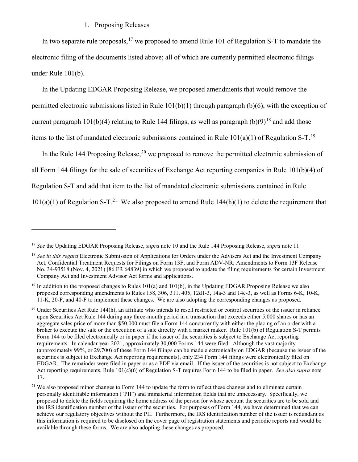#### 1. Proposing Releases

 $\overline{a}$ 

In two separate rule proposals,  $17$  we proposed to amend Rule 101 of Regulation S-T to mandate the electronic filing of the documents listed above; all of which are currently permitted electronic filings under Rule 101(b).

In the Updating EDGAR Proposing Release, we proposed amendments that would remove the permitted electronic submissions listed in Rule 101(b)(1) through paragraph (b)(6), with the exception of current paragraph 101(b)(4) relating to Rule 144 filings, as well as paragraph  $(b)(9)^{18}$  $(b)(9)^{18}$  $(b)(9)^{18}$  and add those items to the list of mandated electronic submissions contained in Rule  $101(a)(1)$  of Regulation S-T.<sup>[19](#page-7-2)</sup>

In the Rule 144 Proposing Release,<sup>[20](#page-7-3)</sup> we proposed to remove the permitted electronic submission of all Form 144 filings for the sale of securities of Exchange Act reporting companies in Rule 101(b)(4) of Regulation S-T and add that item to the list of mandated electronic submissions contained in Rule  $101(a)(1)$  of Regulation S-T.<sup>21</sup> We also proposed to amend Rule 144(h)(1) to delete the requirement that

<span id="page-7-0"></span><sup>17</sup> *See* the Updating EDGAR Proposing Release, *supra* note 10 and the Rule 144 Proposing Release, *supra* note 11.

<span id="page-7-1"></span><sup>&</sup>lt;sup>18</sup> *See in this regard* Electronic Submission of Applications for Orders under the Advisers Act and the Investment Company Act, Confidential Treatment Requests for Filings on Form 13F, and Form ADV-NR; Amendments to Form 13F Release No. 34-93518 (Nov. 4, 2021) [86 FR 64839] in which we proposed to update the filing requirements for certain Investment Company Act and Investment Advisor Act forms and applications.

<span id="page-7-2"></span><sup>&</sup>lt;sup>19</sup> In addition to the proposed changes to Rules 101(a) and 101(b), in the Updating EDGAR Proposing Release we also proposed corresponding amendments to Rules 158, 306, 311, 405, 12d1-3, 14a-3 and 14c-3, as well as Forms 6-K, 10-K, 11-K, 20-F, and 40-F to implement these changes. We are also adopting the corresponding changes as proposed.

<span id="page-7-3"></span> $20$  Under Securities Act Rule 144(h), an affiliate who intends to resell restricted or control securities of the issuer in reliance upon Securities Act Rule 144 during any three-month period in a transaction that exceeds either 5,000 shares or has an aggregate sales price of more than \$50,000 must file a Form 144 concurrently with either the placing of an order with a broker to execute the sale or the execution of a sale directly with a market maker. Rule 101(b) of Regulation S-T permits Form 144 to be filed electronically or in paper if the issuer of the securities is subject to Exchange Act reporting requirements. In calendar year 2021, approximately 30,000 Forms 144 were filed. Although the vast majority (approximately 99%, or 29,700) of these Form 144 filings can be made electronically on EDGAR (because the issuer of the securities is subject to Exchange Act reporting requirements), only 234 Form 144 filings were electronically filed on EDGAR. The remainder were filed in paper or as a PDF via email. If the issuer of the securities is not subject to Exchange Act reporting requirements, Rule 101(c)(6) of Regulation S-T requires Form 144 to be filed in paper. *See also supra* note 17.

<span id="page-7-4"></span><sup>&</sup>lt;sup>21</sup> We also proposed minor changes to Form 144 to update the form to reflect these changes and to eliminate certain personally identifiable information ("PII") and immaterial information fields that are unnecessary. Specifically, we proposed to delete the fields requiring the home address of the person for whose account the securities are to be sold and the IRS identification number of the issuer of the securities. For purposes of Form 144, we have determined that we can achieve our regulatory objectives without the PII. Furthermore, the IRS identification number of the issuer is redundant as this information is required to be disclosed on the cover page of registration statements and periodic reports and would be available through these forms. We are also adopting these changes as proposed.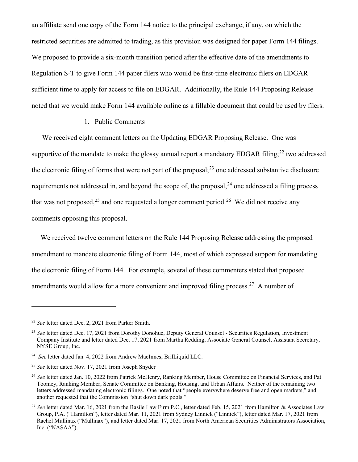an affiliate send one copy of the Form 144 notice to the principal exchange, if any, on which the restricted securities are admitted to trading, as this provision was designed for paper Form 144 filings. We proposed to provide a six-month transition period after the effective date of the amendments to Regulation S-T to give Form 144 paper filers who would be first-time electronic filers on EDGAR sufficient time to apply for access to file on EDGAR. Additionally, the Rule 144 Proposing Release noted that we would make Form 144 available online as a fillable document that could be used by filers.

#### 1. Public Comments

We received eight comment letters on the Updating EDGAR Proposing Release. One was supportive of the mandate to make the glossy annual report a mandatory EDGAR filing;<sup>[22](#page-8-0)</sup> two addressed the electronic filing of forms that were not part of the proposal; $^{23}$  $^{23}$  $^{23}$  one addressed substantive disclosure requirements not addressed in, and beyond the scope of, the proposal,<sup>[24](#page-8-2)</sup> one addressed a filing process that was not proposed,<sup>[25](#page-8-3)</sup> and one requested a longer comment period.<sup>[26](#page-8-4)</sup> We did not receive any comments opposing this proposal.

We received twelve comment letters on the Rule 144 Proposing Release addressing the proposed amendment to mandate electronic filing of Form 144, most of which expressed support for mandating the electronic filing of Form 144. For example, several of these commenters stated that proposed amendments would allow for a more convenient and improved filing process.<sup>27</sup> A number of

<span id="page-8-0"></span><sup>22</sup> *See* letter dated Dec. 2, 2021 from Parker Smith.

<span id="page-8-1"></span><sup>&</sup>lt;sup>23</sup> See letter dated Dec. 17, 2021 from Dorothy Donohue, Deputy General Counsel - Securities Regulation, Investment Company Institute and letter dated Dec. 17, 2021 from Martha Redding, Associate General Counsel, Assistant Secretary, NYSE Group, Inc.

<span id="page-8-2"></span><sup>&</sup>lt;sup>24</sup> *See* letter dated Jan. 4, 2022 from Andrew MacInnes, BrilLiquid LLC.

<span id="page-8-3"></span><sup>25</sup> *See* letter dated Nov. 17, 2021 from Joseph Snyder

<span id="page-8-4"></span><sup>26</sup> *See* letter dated Jan. 10, 2022 from Patrick McHenry, Ranking Member, House Committee on Financial Services, and Pat Toomey, Ranking Member, Senate Committee on Banking, Housing, and Urban Affairs. Neither of the remaining two letters addressed mandating electronic filings. One noted that "people everywhere deserve free and open markets," and another requested that the Commission "shut down dark pools."

<span id="page-8-5"></span><sup>&</sup>lt;sup>27</sup> See letter dated Mar. 16, 2021 from the Basile Law Firm P.C., letter dated Feb. 15, 2021 from Hamilton & Associates Law Group, P.A. ("Hamilton"), letter dated Mar. 11, 2021 from Sydney Linnick ("Linnick"), letter dated Mar. 17, 2021 from Rachel Mullinax ("Mullinax"), and letter dated Mar. 17, 2021 from North American Securities Administrators Association, Inc. ("NASAA").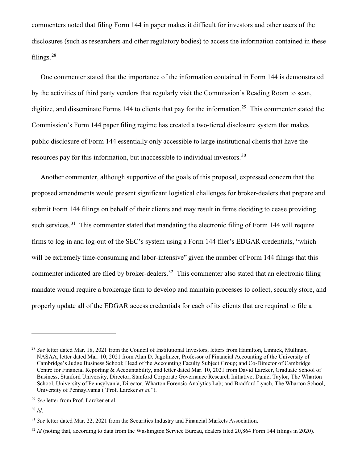commenters noted that filing Form 144 in paper makes it difficult for investors and other users of the disclosures (such as researchers and other regulatory bodies) to access the information contained in these filings.[28](#page-9-0)

One commenter stated that the importance of the information contained in Form 144 is demonstrated by the activities of third party vendors that regularly visit the Commission's Reading Room to scan, digitize, and disseminate Forms 144 to clients that pay for the information.<sup>29</sup> This commenter stated the Commission's Form 144 paper filing regime has created a two-tiered disclosure system that makes public disclosure of Form 144 essentially only accessible to large institutional clients that have the resources pay for this information, but inaccessible to individual investors.<sup>30</sup>

Another commenter, although supportive of the goals of this proposal, expressed concern that the proposed amendments would present significant logistical challenges for broker-dealers that prepare and submit Form 144 filings on behalf of their clients and may result in firms deciding to cease providing such services.<sup>[31](#page-9-3)</sup> This commenter stated that mandating the electronic filing of Form 144 will require firms to log-in and log-out of the SEC's system using a Form 144 filer's EDGAR credentials, "which will be extremely time-consuming and labor-intensive" given the number of Form 144 filings that this commenter indicated are filed by broker-dealers.<sup>[32](#page-9-4)</sup> This commenter also stated that an electronic filing mandate would require a brokerage firm to develop and maintain processes to collect, securely store, and properly update all of the EDGAR access credentials for each of its clients that are required to file a

<span id="page-9-0"></span><sup>28</sup> *See* letter dated Mar. 18, 2021 from the Council of Institutional Investors, letters from Hamilton, Linnick, Mullinax, NASAA, letter dated Mar. 10, 2021 from Alan D. Jagolinzer, Professor of Financial Accounting of the University of Cambridge's Judge Business School; Head of the Accounting Faculty Subject Group; and Co-Director of Cambridge Centre for Financial Reporting & Accountability, and letter dated Mar. 10, 2021 from David Larcker, Graduate School of Business, Stanford University, Director, Stanford Corporate Governance Research Initiative; Daniel Taylor, The Wharton School, University of Pennsylvania, Director, Wharton Forensic Analytics Lab; and Bradford Lynch, The Wharton School, University of Pennsylvania ("Prof. Larcker *et al.*").

<span id="page-9-1"></span><sup>29</sup> *See* letter from Prof. Larcker et al.

<span id="page-9-2"></span><sup>30</sup> *Id*.

<span id="page-9-3"></span><sup>&</sup>lt;sup>31</sup> See letter dated Mar. 22, 2021 from the Securities Industry and Financial Markets Association.

<span id="page-9-4"></span><sup>&</sup>lt;sup>32</sup> *Id* (noting that, according to data from the Washington Service Bureau, dealers filed 20,864 Form 144 filings in 2020).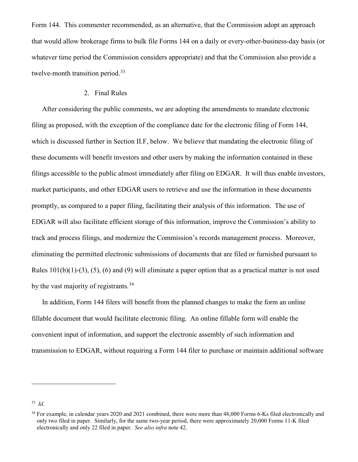Form 144. This commenter recommended, as an alternative, that the Commission adopt an approach that would allow brokerage firms to bulk file Forms 144 on a daily or every-other-business-day basis (or whatever time period the Commission considers appropriate) and that the Commission also provide a twelve-month transition period.<sup>[33](#page-10-0)</sup>

### 2. Final Rules

After considering the public comments, we are adopting the amendments to mandate electronic filing as proposed, with the exception of the compliance date for the electronic filing of Form 144, which is discussed further in Section II.F, below. We believe that mandating the electronic filing of these documents will benefit investors and other users by making the information contained in these filings accessible to the public almost immediately after filing on EDGAR. It will thus enable investors, market participants, and other EDGAR users to retrieve and use the information in these documents promptly, as compared to a paper filing, facilitating their analysis of this information. The use of EDGAR will also facilitate efficient storage of this information, improve the Commission's ability to track and process filings, and modernize the Commission's records management process. Moreover, eliminating the permitted electronic submissions of documents that are filed or furnished pursuant to Rules  $101(b)(1)-(3)$ ,  $(5)$ ,  $(6)$  and  $(9)$  will eliminate a paper option that as a practical matter is not used by the vast majority of registrants.<sup>[34](#page-10-1)</sup>

In addition, Form 144 filers will benefit from the planned changes to make the form an online fillable document that would facilitate electronic filing. An online fillable form will enable the convenient input of information, and support the electronic assembly of such information and transmission to EDGAR, without requiring a Form 144 filer to purchase or maintain additional software

<span id="page-10-0"></span><sup>33</sup> *Id*.

<span id="page-10-1"></span><sup>&</sup>lt;sup>34</sup> For example, in calendar years 2020 and 2021 combined, there were more than 48,000 Forms 6-Ks filed electronically and only two filed in paper. Similarly, for the same two-year period, there were approximately 20,000 Forms 11-K filed electronically and only 22 filed in paper. *See also infra* note 42.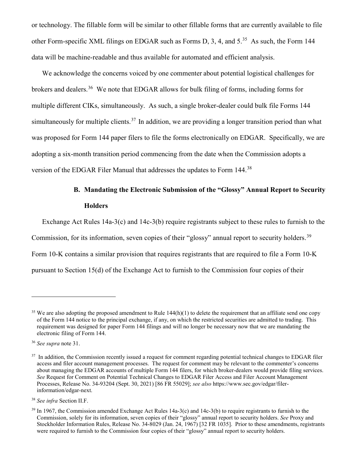or technology. The fillable form will be similar to other fillable forms that are currently available to file other Form-specific XML filings on EDGAR such as Forms D, 3, 4, and 5.[35](#page-11-0) As such, the Form 144 data will be machine-readable and thus available for automated and efficient analysis.

We acknowledge the concerns voiced by one commenter about potential logistical challenges for brokers and dealers.<sup>[36](#page-11-1)</sup> We note that EDGAR allows for bulk filing of forms, including forms for multiple different CIKs, simultaneously. As such, a single broker-dealer could bulk file Forms 144 simultaneously for multiple clients.<sup>37</sup> In addition, we are providing a longer transition period than what was proposed for Form 144 paper filers to file the forms electronically on EDGAR. Specifically, we are adopting a six-month transition period commencing from the date when the Commission adopts a version of the EDGAR Filer Manual that addresses the updates to Form 144.<sup>[38](#page-11-3)</sup>

# **B. Mandating the Electronic Submission of the "Glossy" Annual Report to Security Holders**

Exchange Act Rules 14a-3(c) and 14c-3(b) require registrants subject to these rules to furnish to the

Commission, for its information, seven copies of their "glossy" annual report to security holders.<sup>[39](#page-11-4)</sup>

Form 10-K contains a similar provision that requires registrants that are required to file a Form 10-K

pursuant to Section 15(d) of the Exchange Act to furnish to the Commission four copies of their

<span id="page-11-0"></span><sup>&</sup>lt;sup>35</sup> We are also adopting the proposed amendment to Rule  $144(h)(1)$  to delete the requirement that an affiliate send one copy of the Form 144 notice to the principal exchange, if any, on which the restricted securities are admitted to trading. This requirement was designed for paper Form 144 filings and will no longer be necessary now that we are mandating the electronic filing of Form 144.

<span id="page-11-1"></span><sup>36</sup> *See supra* note 31.

<span id="page-11-2"></span><sup>&</sup>lt;sup>37</sup> In addition, the Commission recently issued a request for comment regarding potential technical changes to EDGAR filer access and filer account management processes. The request for comment may be relevant to the commenter's concerns about managing the EDGAR accounts of multiple Form 144 filers, for which broker-dealers would provide filing services. *See* Request for Comment on Potential Technical Changes to EDGAR Filer Access and Filer Account Management Processes, Release No. 34-93204 (Sept. 30, 2021) [86 FR 55029]; *see also* https://www.sec.gov/edgar/filerinformation/edgar-next.

<span id="page-11-3"></span><sup>38</sup> *See infra* Section II.F.

<span id="page-11-4"></span><sup>39</sup> In 1967, the Commission amended Exchange Act Rules 14a-3(c) and 14c-3(b) to require registrants to furnish to the Commission, solely for its information, seven copies of their "glossy" annual report to security holders. *See* Proxy and Stockholder Information Rules, Release No. 34-8029 (Jan. 24, 1967) [32 FR 1035]. Prior to these amendments, registrants were required to furnish to the Commission four copies of their "glossy" annual report to security holders.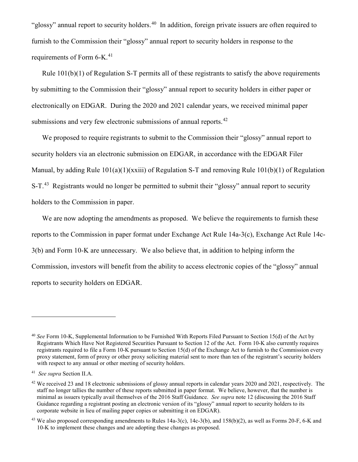"glossy" annual report to security holders.<sup>[40](#page-12-0)</sup> In addition, foreign private issuers are often required to furnish to the Commission their "glossy" annual report to security holders in response to the requirements of Form 6-K.<sup>[41](#page-12-1)</sup>

Rule 101(b)(1) of Regulation S-T permits all of these registrants to satisfy the above requirements by submitting to the Commission their "glossy" annual report to security holders in either paper or electronically on EDGAR. During the 2020 and 2021 calendar years, we received minimal paper submissions and very few electronic submissions of annual reports.<sup>[42](#page-12-2)</sup>

We proposed to require registrants to submit to the Commission their "glossy" annual report to security holders via an electronic submission on EDGAR, in accordance with the EDGAR Filer Manual, by adding Rule 101(a)(1)(xxiii) of Regulation S-T and removing Rule 101(b)(1) of Regulation S-T. $43$  Registrants would no longer be permitted to submit their "glossy" annual report to security holders to the Commission in paper.

We are now adopting the amendments as proposed. We believe the requirements to furnish these reports to the Commission in paper format under Exchange Act Rule 14a-3(c), Exchange Act Rule 14c-3(b) and Form 10-K are unnecessary. We also believe that, in addition to helping inform the Commission, investors will benefit from the ability to access electronic copies of the "glossy" annual reports to security holders on EDGAR.

<span id="page-12-0"></span><sup>40</sup> *See* Form 10-K, Supplemental Information to be Furnished With Reports Filed Pursuant to Section 15(d) of the Act by Registrants Which Have Not Registered Securities Pursuant to Section 12 of the Act. Form 10-K also currently requires registrants required to file a Form 10-K pursuant to Section 15(d) of the Exchange Act to furnish to the Commission every proxy statement, form of proxy or other proxy soliciting material sent to more than ten of the registrant's security holders with respect to any annual or other meeting of security holders.

<span id="page-12-1"></span><sup>41</sup> *See supra* Section II.A.

<span id="page-12-2"></span> $42$  We received 23 and 18 electronic submissions of glossy annual reports in calendar years 2020 and 2021, respectively. The staff no longer tallies the number of these reports submitted in paper format. We believe, however, that the number is minimal as issuers typically avail themselves of the 2016 Staff Guidance. *See supra* note 12 (discussing the 2016 Staff Guidance regarding a registrant posting an electronic version of its "glossy" annual report to security holders to its corporate website in lieu of mailing paper copies or submitting it on EDGAR).

<span id="page-12-3"></span><sup>43</sup> We also proposed corresponding amendments to Rules 14a-3(c), 14c-3(b), and 158(b)(2), as well as Forms 20-F, 6-K and 10-K to implement these changes and are adopting these changes as proposed.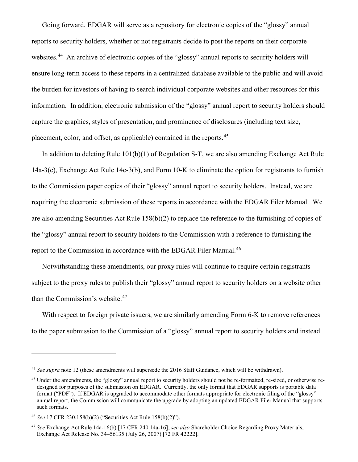Going forward, EDGAR will serve as a repository for electronic copies of the "glossy" annual reports to security holders, whether or not registrants decide to post the reports on their corporate websites.<sup>[44](#page-13-0)</sup> An archive of electronic copies of the "glossy" annual reports to security holders will ensure long-term access to these reports in a centralized database available to the public and will avoid the burden for investors of having to search individual corporate websites and other resources for this information. In addition, electronic submission of the "glossy" annual report to security holders should capture the graphics, styles of presentation, and prominence of disclosures (including text size, placement, color, and offset, as applicable) contained in the reports.<sup>[45](#page-13-1)</sup>

In addition to deleting Rule 101(b)(1) of Regulation S-T, we are also amending Exchange Act Rule 14a-3(c), Exchange Act Rule 14c-3(b), and Form 10-K to eliminate the option for registrants to furnish to the Commission paper copies of their "glossy" annual report to security holders. Instead, we are requiring the electronic submission of these reports in accordance with the EDGAR Filer Manual. We are also amending Securities Act Rule 158(b)(2) to replace the reference to the furnishing of copies of the "glossy" annual report to security holders to the Commission with a reference to furnishing the report to the Commission in accordance with the EDGAR Filer Manual.<sup>[46](#page-13-2)</sup>

Notwithstanding these amendments, our proxy rules will continue to require certain registrants subject to the proxy rules to publish their "glossy" annual report to security holders on a website other than the Commission's website.<sup>[47](#page-13-3)</sup>

With respect to foreign private issuers, we are similarly amending Form 6-K to remove references to the paper submission to the Commission of a "glossy" annual report to security holders and instead

<span id="page-13-0"></span><sup>44</sup> *See supra* note 12 (these amendments will supersede the 2016 Staff Guidance, which will be withdrawn).

<span id="page-13-1"></span><sup>&</sup>lt;sup>45</sup> Under the amendments, the "glossy" annual report to security holders should not be re-formatted, re-sized, or otherwise redesigned for purposes of the submission on EDGAR. Currently, the only format that EDGAR supports is portable data format ("PDF"). If EDGAR is upgraded to accommodate other formats appropriate for electronic filing of the "glossy" annual report, the Commission will communicate the upgrade by adopting an updated EDGAR Filer Manual that supports such formats.

<span id="page-13-2"></span><sup>46</sup> *See* 17 CFR 230.158(b)(2) ("Securities Act Rule 158(b)(2)").

<span id="page-13-3"></span><sup>47</sup> *See* Exchange Act Rule 14a-16(b) [17 CFR 240.14a-16]; *see also* Shareholder Choice Regarding Proxy Materials, Exchange Act Release No. 34–56135 (July 26, 2007) [72 FR 42222].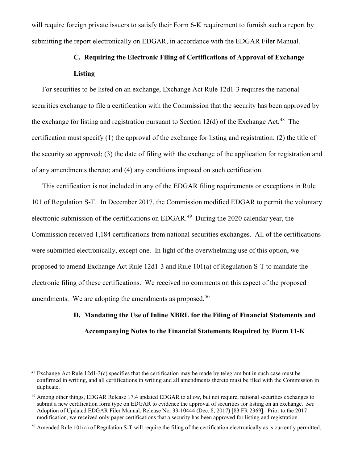will require foreign private issuers to satisfy their Form 6-K requirement to furnish such a report by submitting the report electronically on EDGAR, in accordance with the EDGAR Filer Manual.

# **C. Requiring the Electronic Filing of Certifications of Approval of Exchange Listing**

For securities to be listed on an exchange, Exchange Act Rule 12d1-3 requires the national securities exchange to file a certification with the Commission that the security has been approved by the exchange for listing and registration pursuant to Section 12(d) of the Exchange Act.<sup>[48](#page-14-0)</sup> The certification must specify (1) the approval of the exchange for listing and registration; (2) the title of the security so approved; (3) the date of filing with the exchange of the application for registration and of any amendments thereto; and (4) any conditions imposed on such certification.

This certification is not included in any of the EDGAR filing requirements or exceptions in Rule 101 of Regulation S-T. In December 2017, the Commission modified EDGAR to permit the voluntary electronic submission of the certifications on EDGAR.<sup>[49](#page-14-1)</sup> During the 2020 calendar year, the Commission received 1,184 certifications from national securities exchanges. All of the certifications were submitted electronically, except one. In light of the overwhelming use of this option, we proposed to amend Exchange Act Rule 12d1-3 and Rule 101(a) of Regulation S-T to mandate the electronic filing of these certifications. We received no comments on this aspect of the proposed amendments. We are adopting the amendments as proposed.<sup>[50](#page-14-2)</sup>

# **D. Mandating the Use of Inline XBRL for the Filing of Financial Statements and Accompanying Notes to the Financial Statements Required by Form 11-K**

<span id="page-14-0"></span><sup>&</sup>lt;sup>48</sup> Exchange Act Rule 12d1-3(c) specifies that the certification may be made by telegram but in such case must be confirmed in writing, and all certifications in writing and all amendments thereto must be filed with the Commission in duplicate.

<span id="page-14-1"></span><sup>49</sup> Among other things, EDGAR Release 17.4 updated EDGAR to allow, but not require, national securities exchanges to submit a new certification form type on EDGAR to evidence the approval of securities for listing on an exchange. *See* Adoption of Updated EDGAR Filer Manual, Release No. 33-10444 (Dec. 8, 2017) [83 FR 2369]. Prior to the 2017 modification, we received only paper certifications that a security has been approved for listing and registration.

<span id="page-14-2"></span><sup>&</sup>lt;sup>50</sup> Amended Rule 101(a) of Regulation S-T will require the filing of the certification electronically as is currently permitted.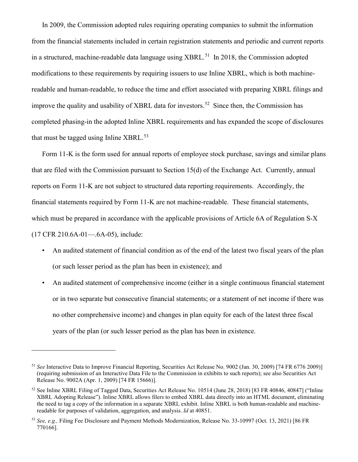In 2009, the Commission adopted rules requiring operating companies to submit the information from the financial statements included in certain registration statements and periodic and current reports in a structured, machine-readable data language using XBRL.<sup>51</sup> In 2018, the Commission adopted modifications to these requirements by requiring issuers to use Inline XBRL, which is both machinereadable and human-readable, to reduce the time and effort associated with preparing XBRL filings and improve the quality and usability of XBRL data for investors.<sup>52</sup> Since then, the Commission has completed phasing-in the adopted Inline XBRL requirements and has expanded the scope of disclosures that must be tagged using Inline  $XBRL<sup>53</sup>$  $XBRL<sup>53</sup>$  $XBRL<sup>53</sup>$ 

Form 11-K is the form used for annual reports of employee stock purchase, savings and similar plans that are filed with the Commission pursuant to Section 15(d) of the Exchange Act. Currently, annual reports on Form 11-K are not subject to structured data reporting requirements. Accordingly, the financial statements required by Form 11-K are not machine-readable. These financial statements, which must be prepared in accordance with the applicable provisions of Article 6A of Regulation S-X (17 CFR 210.6A-01—.6A-05), include:

- An audited statement of financial condition as of the end of the latest two fiscal years of the plan (or such lesser period as the plan has been in existence); and
- An audited statement of comprehensive income (either in a single continuous financial statement or in two separate but consecutive financial statements; or a statement of net income if there was no other comprehensive income) and changes in plan equity for each of the latest three fiscal years of the plan (or such lesser period as the plan has been in existence.

<span id="page-15-0"></span><sup>51</sup> *See* Interactive Data to Improve Financial Reporting, Securities Act Release No. 9002 (Jan. 30, 2009) [74 FR 6776 2009)] (requiring submission of an Interactive Data File to the Commission in exhibits to such reports); see also Securities Act Release No. 9002A (Apr. 1, 2009) [74 FR 15666)].

<span id="page-15-1"></span><sup>52</sup> See Inline XBRL Filing of Tagged Data, Securities Act Release No. 10514 (June 28, 2018) [83 FR 40846, 40847] ("Inline XBRL Adopting Release"). Inline XBRL allows filers to embed XBRL data directly into an HTML document, eliminating the need to tag a copy of the information in a separate XBRL exhibit. Inline XBRL is both human-readable and machinereadable for purposes of validation, aggregation, and analysis. *Id* at 40851.

<span id="page-15-2"></span><sup>53</sup> *See, e.g.,* Filing Fee Disclosure and Payment Methods Modernization, Release No. 33-10997 (Oct. 13, 2021) [86 FR 770166].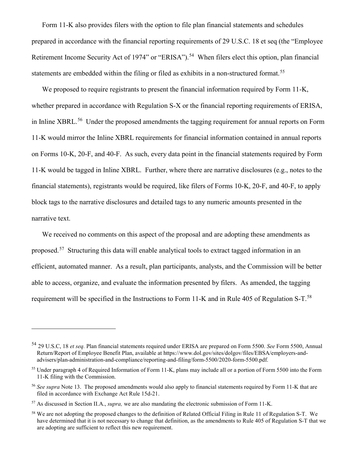Form 11-K also provides filers with the option to file plan financial statements and schedules prepared in accordance with the financial reporting requirements of 29 U.S.C. 18 et seq (the "Employee Retirement Income Security Act of 1974" or "ERISA").<sup>54</sup> When filers elect this option, plan financial statements are embedded within the filing or filed as exhibits in a non-structured format.<sup>[55](#page-16-1)</sup>

We proposed to require registrants to present the financial information required by Form 11-K, whether prepared in accordance with Regulation S-X or the financial reporting requirements of ERISA, in Inline XBRL.<sup>[56](#page-16-2)</sup> Under the proposed amendments the tagging requirement for annual reports on Form 11-K would mirror the Inline XBRL requirements for financial information contained in annual reports on Forms 10-K, 20-F, and 40-F. As such, every data point in the financial statements required by Form 11-K would be tagged in Inline XBRL. Further, where there are narrative disclosures (e.g., notes to the financial statements), registrants would be required, like filers of Forms 10-K, 20-F, and 40-F, to apply block tags to the narrative disclosures and detailed tags to any numeric amounts presented in the narrative text.

We received no comments on this aspect of the proposal and are adopting these amendments as proposed.<sup>57</sup> Structuring this data will enable analytical tools to extract tagged information in an efficient, automated manner. As a result, plan participants, analysts, and the Commission will be better able to access, organize, and evaluate the information presented by filers. As amended, the tagging requirement will be specified in the Instructions to Form 11-K and in Rule 405 of Regulation S-T.[58](#page-16-4)

<span id="page-16-0"></span><sup>54</sup> 29 U.S.C, 18 *et seq.* Plan financial statements required under ERISA are prepared on Form 5500. *See* Form 5500, Annual Return/Report of Employee Benefit Plan, available at https://www.dol.gov/sites/dolgov/files/EBSA/employers-andadvisers/plan-administration-and-compliance/reporting-and-filing/form-5500/2020-form-5500.pdf.

<span id="page-16-1"></span><sup>55</sup> Under paragraph 4 of Required Information of Form 11-K, plans may include all or a portion of Form 5500 into the Form 11-K filing with the Commission.

<span id="page-16-2"></span><sup>56</sup> *See supra* Note 13. The proposed amendments would also apply to financial statements required by Form 11-K that are filed in accordance with Exchange Act Rule 15d-21.

<span id="page-16-3"></span><sup>57</sup> As discussed in Section II.A., *supra,* we are also mandating the electronic submission of Form 11-K.

<span id="page-16-4"></span><sup>&</sup>lt;sup>58</sup> We are not adopting the proposed changes to the definition of Related Official Filing in Rule 11 of Regulation S-T. We have determined that it is not necessary to change that definition, as the amendments to Rule 405 of Regulation S-T that we are adopting are sufficient to reflect this new requirement.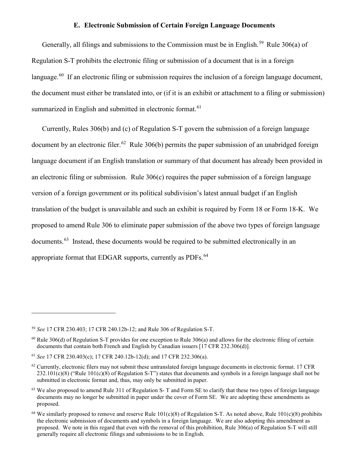#### **E. Electronic Submission of Certain Foreign Language Documents**

Generally, all filings and submissions to the Commission must be in English.<sup>[59](#page-17-0)</sup> Rule 306(a) of Regulation S-T prohibits the electronic filing or submission of a document that is in a foreign language.<sup>[60](#page-17-1)</sup> If an electronic filing or submission requires the inclusion of a foreign language document, the document must either be translated into, or (if it is an exhibit or attachment to a filing or submission) summarized in English and submitted in electronic format.<sup>[61](#page-17-2)</sup>

Currently, Rules 306(b) and (c) of Regulation S-T govern the submission of a foreign language document by an electronic filer.<sup>[62](#page-17-3)</sup> Rule 306(b) permits the paper submission of an unabridged foreign language document if an English translation or summary of that document has already been provided in an electronic filing or submission. Rule 306(c) requires the paper submission of a foreign language version of a foreign government or its political subdivision's latest annual budget if an English translation of the budget is unavailable and such an exhibit is required by Form 18 or Form 18-K. We proposed to amend Rule 306 to eliminate paper submission of the above two types of foreign language documents.<sup>63</sup> Instead, these documents would be required to be submitted electronically in an appropriate format that EDGAR supports, currently as PDFs.<sup>[64](#page-17-5)</sup>

<span id="page-17-0"></span><sup>59</sup> *See* 17 CFR 230.403; 17 CFR 240.12b-12; and Rule 306 of Regulation S-T.

<span id="page-17-1"></span> $60$  Rule 306(d) of Regulation S-T provides for one exception to Rule 306(a) and allows for the electronic filing of certain documents that contain both French and English by Canadian issuers [17 CFR 232.306(d)].

<span id="page-17-2"></span><sup>61</sup> *See* 17 CFR 230.403(c); 17 CFR 240.12b-12(d); and 17 CFR 232.306(a).

<span id="page-17-3"></span> $62$  Currently, electronic filers may not submit these untranslated foreign language documents in electronic format. 17 CFR  $232.101(c)(8)$  ("Rule 101(c)(8) of Regulation S-T") states that documents and symbols in a foreign language shall not be submitted in electronic format and, thus, may only be submitted in paper.

<span id="page-17-4"></span> $63$  We also proposed to amend Rule 311 of Regulation S-T and Form SE to clarify that these two types of foreign language documents may no longer be submitted in paper under the cover of Form SE. We are adopting these amendments as proposed.

<span id="page-17-5"></span><sup>&</sup>lt;sup>64</sup> We similarly proposed to remove and reserve Rule  $101(c)(8)$  of Regulation S-T. As noted above, Rule  $101(c)(8)$  prohibits the electronic submission of documents and symbols in a foreign language. We are also adopting this amendment as proposed. We note in this regard that even with the removal of this prohibition, Rule 306(a) of Regulation S-T will still generally require all electronic filings and submissions to be in English.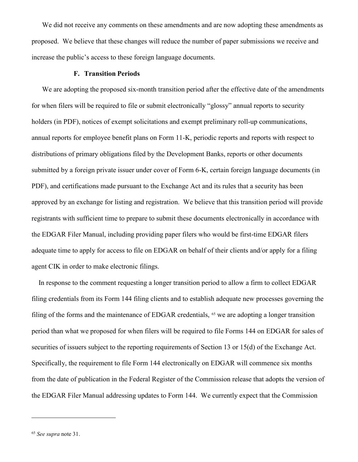We did not receive any comments on these amendments and are now adopting these amendments as proposed. We believe that these changes will reduce the number of paper submissions we receive and increase the public's access to these foreign language documents.

#### **F. Transition Periods**

We are adopting the proposed six-month transition period after the effective date of the amendments for when filers will be required to file or submit electronically "glossy" annual reports to security holders (in PDF), notices of exempt solicitations and exempt preliminary roll-up communications, annual reports for employee benefit plans on Form 11-K, periodic reports and reports with respect to distributions of primary obligations filed by the Development Banks, reports or other documents submitted by a foreign private issuer under cover of Form 6-K, certain foreign language documents (in PDF), and certifications made pursuant to the Exchange Act and its rules that a security has been approved by an exchange for listing and registration. We believe that this transition period will provide registrants with sufficient time to prepare to submit these documents electronically in accordance with the EDGAR Filer Manual, including providing paper filers who would be first-time EDGAR filers adequate time to apply for access to file on EDGAR on behalf of their clients and/or apply for a filing agent CIK in order to make electronic filings.

 In response to the comment requesting a longer transition period to allow a firm to collect EDGAR filing credentials from its Form 144 filing clients and to establish adequate new processes governing the filing of the forms and the maintenance of EDGAR credentials, <sup>[65](#page-18-0)</sup> we are adopting a longer transition period than what we proposed for when filers will be required to file Forms 144 on EDGAR for sales of securities of issuers subject to the reporting requirements of Section 13 or 15(d) of the Exchange Act. Specifically, the requirement to file Form 144 electronically on EDGAR will commence six months from the date of publication in the Federal Register of the Commission release that adopts the version of the EDGAR Filer Manual addressing updates to Form 144. We currently expect that the Commission

<span id="page-18-0"></span><sup>65</sup> *See supra* note 31.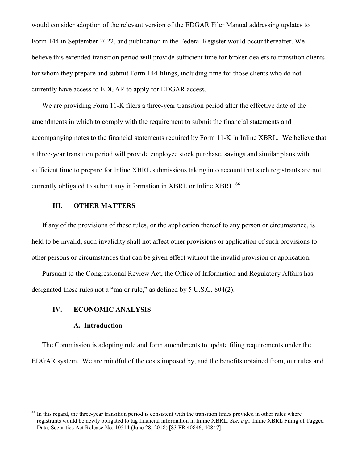would consider adoption of the relevant version of the EDGAR Filer Manual addressing updates to Form 144 in September 2022, and publication in the Federal Register would occur thereafter. We believe this extended transition period will provide sufficient time for broker-dealers to transition clients for whom they prepare and submit Form 144 filings, including time for those clients who do not currently have access to EDGAR to apply for EDGAR access.

We are providing Form 11-K filers a three-year transition period after the effective date of the amendments in which to comply with the requirement to submit the financial statements and accompanying notes to the financial statements required by Form 11-K in Inline XBRL. We believe that a three-year transition period will provide employee stock purchase, savings and similar plans with sufficient time to prepare for Inline XBRL submissions taking into account that such registrants are not currently obligated to submit any information in XBRL or Inline XBRL.<sup>[66](#page-19-0)</sup>

## **III. OTHER MATTERS**

If any of the provisions of these rules, or the application thereof to any person or circumstance, is held to be invalid, such invalidity shall not affect other provisions or application of such provisions to other persons or circumstances that can be given effect without the invalid provision or application.

Pursuant to the Congressional Review Act, the Office of Information and Regulatory Affairs has designated these rules not a "major rule," as defined by 5 U.S.C. 804(2).

## **IV. ECONOMIC ANALYSIS**

#### **A. Introduction**

 $\overline{a}$ 

The Commission is adopting rule and form amendments to update filing requirements under the EDGAR system. We are mindful of the costs imposed by, and the benefits obtained from, our rules and

<span id="page-19-0"></span><sup>&</sup>lt;sup>66</sup> In this regard, the three-year transition period is consistent with the transition times provided in other rules where registrants would be newly obligated to tag financial information in Inline XBRL*. See, e.g.,* Inline XBRL Filing of Tagged Data, Securities Act Release No. 10514 (June 28, 2018) [83 FR 40846, 40847].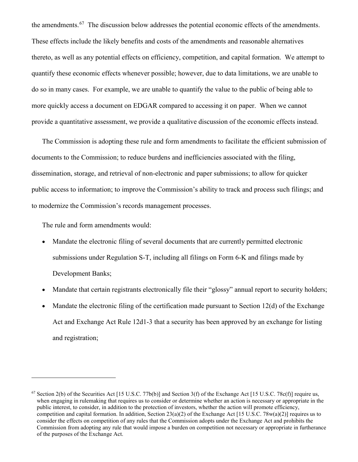the amendments.<sup>[67](#page-20-0)</sup> The discussion below addresses the potential economic effects of the amendments. These effects include the likely benefits and costs of the amendments and reasonable alternatives thereto, as well as any potential effects on efficiency, competition, and capital formation. We attempt to quantify these economic effects whenever possible; however, due to data limitations, we are unable to do so in many cases. For example, we are unable to quantify the value to the public of being able to more quickly access a document on EDGAR compared to accessing it on paper. When we cannot provide a quantitative assessment, we provide a qualitative discussion of the economic effects instead.

The Commission is adopting these rule and form amendments to facilitate the efficient submission of documents to the Commission; to reduce burdens and inefficiencies associated with the filing, dissemination, storage, and retrieval of non-electronic and paper submissions; to allow for quicker public access to information; to improve the Commission's ability to track and process such filings; and to modernize the Commission's records management processes.

The rule and form amendments would:

- Mandate the electronic filing of several documents that are currently permitted electronic submissions under Regulation S-T, including all filings on Form 6-K and filings made by Development Banks;
- Mandate that certain registrants electronically file their "glossy" annual report to security holders;
- Mandate the electronic filing of the certification made pursuant to Section  $12(d)$  of the Exchange Act and Exchange Act Rule 12d1-3 that a security has been approved by an exchange for listing and registration;

<span id="page-20-0"></span><sup>&</sup>lt;sup>67</sup> Section 2(b) of the Securities Act [15 U.S.C. 77b(b)] and Section 3(f) of the Exchange Act [15 U.S.C. 78c(f)] require us, when engaging in rulemaking that requires us to consider or determine whether an action is necessary or appropriate in the public interest, to consider, in addition to the protection of investors, whether the action will promote efficiency, competition and capital formation. In addition, Section  $23(a)(2)$  of the Exchange Act [15 U.S.C. 78w(a)(2)] requires us to consider the effects on competition of any rules that the Commission adopts under the Exchange Act and prohibits the Commission from adopting any rule that would impose a burden on competition not necessary or appropriate in furtherance of the purposes of the Exchange Act.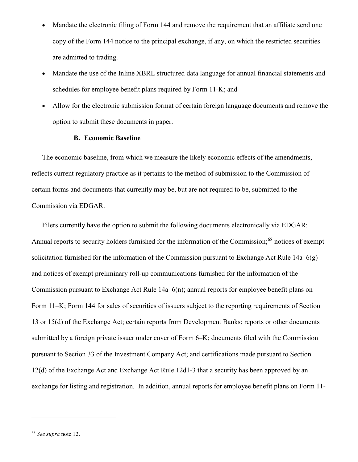- Mandate the electronic filing of Form 144 and remove the requirement that an affiliate send one copy of the Form 144 notice to the principal exchange, if any, on which the restricted securities are admitted to trading.
- Mandate the use of the Inline XBRL structured data language for annual financial statements and schedules for employee benefit plans required by Form 11-K; and
- Allow for the electronic submission format of certain foreign language documents and remove the option to submit these documents in paper.

# **B. Economic Baseline**

The economic baseline, from which we measure the likely economic effects of the amendments, reflects current regulatory practice as it pertains to the method of submission to the Commission of certain forms and documents that currently may be, but are not required to be, submitted to the Commission via EDGAR.

Filers currently have the option to submit the following documents electronically via EDGAR: Annual reports to security holders furnished for the information of the Commission;<sup>[68](#page-21-0)</sup> notices of exempt solicitation furnished for the information of the Commission pursuant to Exchange Act Rule 14a–6(g) and notices of exempt preliminary roll-up communications furnished for the information of the Commission pursuant to Exchange Act Rule 14a–6(n); annual reports for employee benefit plans on Form 11–K; Form 144 for sales of securities of issuers subject to the reporting requirements of Section 13 or 15(d) of the Exchange Act; certain reports from Development Banks; reports or other documents submitted by a foreign private issuer under cover of Form 6–K; documents filed with the Commission pursuant to Section 33 of the Investment Company Act; and certifications made pursuant to Section 12(d) of the Exchange Act and Exchange Act Rule 12d1-3 that a security has been approved by an exchange for listing and registration. In addition, annual reports for employee benefit plans on Form 11-

<span id="page-21-0"></span><sup>68</sup> *See supra* note 12.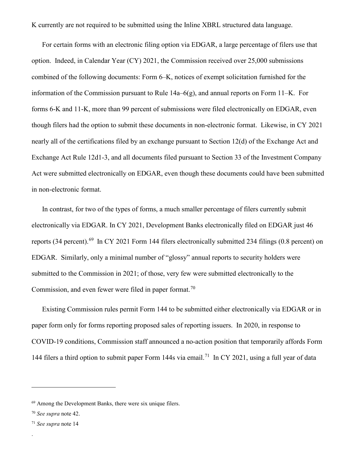K currently are not required to be submitted using the Inline XBRL structured data language.

For certain forms with an electronic filing option via EDGAR, a large percentage of filers use that option. Indeed, in Calendar Year (CY) 2021, the Commission received over 25,000 submissions combined of the following documents: Form 6–K, notices of exempt solicitation furnished for the information of the Commission pursuant to Rule  $14a-6(g)$ , and annual reports on Form  $11-K$ . For forms 6-K and 11-K, more than 99 percent of submissions were filed electronically on EDGAR, even though filers had the option to submit these documents in non-electronic format. Likewise, in CY 2021 nearly all of the certifications filed by an exchange pursuant to Section 12(d) of the Exchange Act and Exchange Act Rule 12d1-3, and all documents filed pursuant to Section 33 of the Investment Company Act were submitted electronically on EDGAR, even though these documents could have been submitted in non-electronic format.

In contrast, for two of the types of forms, a much smaller percentage of filers currently submit electronically via EDGAR. In CY 2021, Development Banks electronically filed on EDGAR just 46 reports (34 percent).<sup>[69](#page-22-0)</sup> In CY 2021 Form 144 filers electronically submitted 234 filings (0.8 percent) on EDGAR. Similarly, only a minimal number of "glossy" annual reports to security holders were submitted to the Commission in 2021; of those, very few were submitted electronically to the Commission, and even fewer were filed in paper format.<sup>[70](#page-22-1)</sup>

Existing Commission rules permit Form 144 to be submitted either electronically via EDGAR or in paper form only for forms reporting proposed sales of reporting issuers. In 2020, in response to COVID-19 conditions, Commission staff announced a no-action position that temporarily affords Form 144 filers a third option to submit paper Form 144s via email.<sup>[71](#page-22-2)</sup> In CY 2021, using a full year of data

 $\overline{a}$ 

.

<span id="page-22-0"></span><sup>&</sup>lt;sup>69</sup> Among the Development Banks, there were six unique filers.

<span id="page-22-1"></span><sup>70</sup> *See supra* note 42.

<span id="page-22-2"></span><sup>71</sup> *See supra* note 14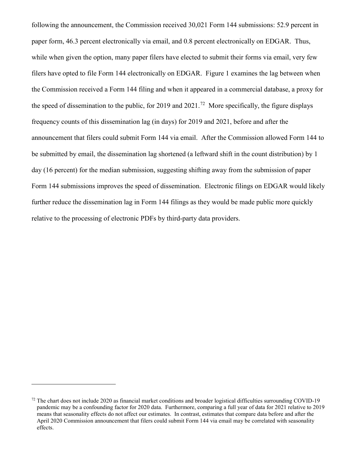following the announcement, the Commission received 30,021 Form 144 submissions: 52.9 percent in paper form, 46.3 percent electronically via email, and 0.8 percent electronically on EDGAR. Thus, while when given the option, many paper filers have elected to submit their forms via email, very few filers have opted to file Form 144 electronically on EDGAR. Figure 1 examines the lag between when the Commission received a Form 144 filing and when it appeared in a commercial database, a proxy for the speed of dissemination to the public, for 2019 and 2021.<sup>[72](#page-23-0)</sup> More specifically, the figure displays frequency counts of this dissemination lag (in days) for 2019 and 2021, before and after the announcement that filers could submit Form 144 via email. After the Commission allowed Form 144 to be submitted by email, the dissemination lag shortened (a leftward shift in the count distribution) by 1 day (16 percent) for the median submission, suggesting shifting away from the submission of paper Form 144 submissions improves the speed of dissemination. Electronic filings on EDGAR would likely further reduce the dissemination lag in Form 144 filings as they would be made public more quickly relative to the processing of electronic PDFs by third-party data providers.

<span id="page-23-0"></span> $72$  The chart does not include 2020 as financial market conditions and broader logistical difficulties surrounding COVID-19 pandemic may be a confounding factor for 2020 data. Furthermore, comparing a full year of data for 2021 relative to 2019 means that seasonality effects do not affect our estimates. In contrast, estimates that compare data before and after the April 2020 Commission announcement that filers could submit Form 144 via email may be correlated with seasonality effects.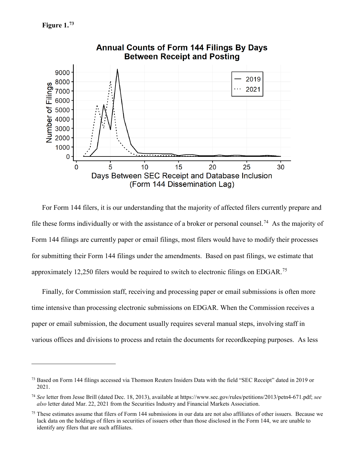$\overline{a}$ 



For Form 144 filers, it is our understanding that the majority of affected filers currently prepare and file these forms individually or with the assistance of a broker or personal counsel.<sup>[74](#page-24-1)</sup> As the majority of Form 144 filings are currently paper or email filings, most filers would have to modify their processes for submitting their Form 144 filings under the amendments. Based on past filings, we estimate that approximately 12,250 filers would be required to switch to electronic filings on EDGAR.[75](#page-24-2)

Finally, for Commission staff, receiving and processing paper or email submissions is often more time intensive than processing electronic submissions on EDGAR. When the Commission receives a paper or email submission, the document usually requires several manual steps, involving staff in various offices and divisions to process and retain the documents for recordkeeping purposes. As less

<span id="page-24-0"></span><sup>73</sup> Based on Form 144 filings accessed via Thomson Reuters Insiders Data with the field "SEC Receipt" dated in 2019 or 2021.

<span id="page-24-1"></span><sup>74</sup> *See* letter from Jesse Brill (dated Dec. 18, 2013), available at https://www.sec.gov/rules/petitions/2013/petn4-671.pdf; *see also* letter dated Mar. 22, 2021 from the Securities Industry and Financial Markets Association.

<span id="page-24-2"></span> $75$  These estimates assume that filers of Form 144 submissions in our data are not also affiliates of other issuers. Because we lack data on the holdings of filers in securities of issuers other than those disclosed in the Form 144, we are unable to identify any filers that are such affiliates.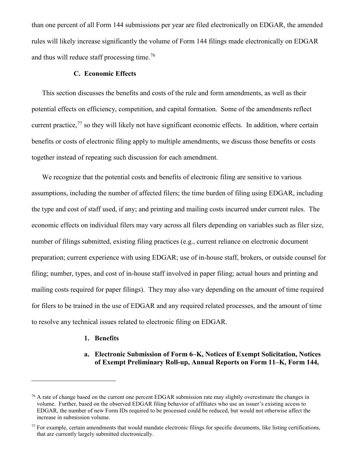than one percent of all Form 144 submissions per year are filed electronically on EDGAR, the amended rules will likely increase significantly the volume of Form 144 filings made electronically on EDGAR and thus will reduce staff processing time.[76](#page-25-0)

### **C. Economic Effects**

This section discusses the benefits and costs of the rule and form amendments, as well as their potential effects on efficiency, competition, and capital formation. Some of the amendments reflect current practice, $^{77}$  $^{77}$  $^{77}$  so they will likely not have significant economic effects. In addition, where certain benefits or costs of electronic filing apply to multiple amendments, we discuss those benefits or costs together instead of repeating such discussion for each amendment.

We recognize that the potential costs and benefits of electronic filing are sensitive to various assumptions, including the number of affected filers; the time burden of filing using EDGAR, including the type and cost of staff used, if any; and printing and mailing costs incurred under current rules. The economic effects on individual filers may vary across all filers depending on variables such as filer size, number of filings submitted, existing filing practices (e.g., current reliance on electronic document preparation; current experience with using EDGAR; use of in-house staff, brokers, or outside counsel for filing; number, types, and cost of in-house staff involved in paper filing; actual hours and printing and mailing costs required for paper filings). They may also vary depending on the amount of time required for filers to be trained in the use of EDGAR and any required related processes, and the amount of time to resolve any technical issues related to electronic filing on EDGAR.

#### **1. Benefits**

 $\overline{a}$ 

## **a. Electronic Submission of Form 6–K, Notices of Exempt Solicitation, Notices of Exempt Preliminary Roll-up, Annual Reports on Form 11–K, Form 144,**

<span id="page-25-0"></span> $76$  A rate of change based on the current one percent EDGAR submission rate may slightly overestimate the changes in volume. Further, based on the observed EDGAR filing behavior of affiliates who use an issuer's existing access to EDGAR, the number of new Form IDs required to be processed could be reduced, but would not otherwise affect the increase in submission volume.

<span id="page-25-1"></span> $77$  For example, certain amendments that would mandate electronic filings for specific documents, like listing certifications, that are currently largely submitted electronically.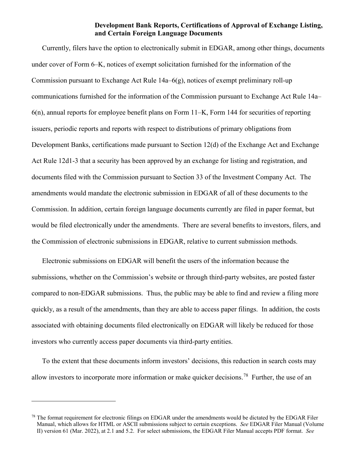## **Development Bank Reports, Certifications of Approval of Exchange Listing, and Certain Foreign Language Documents**

Currently, filers have the option to electronically submit in EDGAR, among other things, documents under cover of Form 6–K, notices of exempt solicitation furnished for the information of the Commission pursuant to Exchange Act Rule 14a–6(g), notices of exempt preliminary roll-up communications furnished for the information of the Commission pursuant to Exchange Act Rule 14a– 6(n), annual reports for employee benefit plans on Form 11–K, Form 144 for securities of reporting issuers, periodic reports and reports with respect to distributions of primary obligations from Development Banks, certifications made pursuant to Section 12(d) of the Exchange Act and Exchange Act Rule 12d1-3 that a security has been approved by an exchange for listing and registration, and documents filed with the Commission pursuant to Section 33 of the Investment Company Act. The amendments would mandate the electronic submission in EDGAR of all of these documents to the Commission. In addition, certain foreign language documents currently are filed in paper format, but would be filed electronically under the amendments. There are several benefits to investors, filers, and the Commission of electronic submissions in EDGAR, relative to current submission methods.

Electronic submissions on EDGAR will benefit the users of the information because the submissions, whether on the Commission's website or through third-party websites, are posted faster compared to non-EDGAR submissions. Thus, the public may be able to find and review a filing more quickly, as a result of the amendments, than they are able to access paper filings. In addition, the costs associated with obtaining documents filed electronically on EDGAR will likely be reduced for those investors who currently access paper documents via third-party entities.

To the extent that these documents inform investors' decisions, this reduction in search costs may allow investors to incorporate more information or make quicker decisions.<sup>78</sup> Further, the use of an

<span id="page-26-0"></span> $^{78}$  The format requirement for electronic filings on EDGAR under the amendments would be dictated by the EDGAR Filer Manual, which allows for HTML or ASCII submissions subject to certain exceptions. *See* EDGAR Filer Manual (Volume II) version 61 (Mar. 2022), at 2.1 and 5.2. For select submissions, the EDGAR Filer Manual accepts PDF format. *See*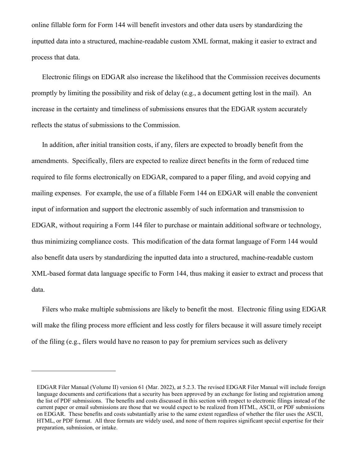online fillable form for Form 144 will benefit investors and other data users by standardizing the inputted data into a structured, machine-readable custom XML format, making it easier to extract and process that data.

Electronic filings on EDGAR also increase the likelihood that the Commission receives documents promptly by limiting the possibility and risk of delay (e.g., a document getting lost in the mail). An increase in the certainty and timeliness of submissions ensures that the EDGAR system accurately reflects the status of submissions to the Commission.

In addition, after initial transition costs, if any, filers are expected to broadly benefit from the amendments. Specifically, filers are expected to realize direct benefits in the form of reduced time required to file forms electronically on EDGAR, compared to a paper filing, and avoid copying and mailing expenses. For example, the use of a fillable Form 144 on EDGAR will enable the convenient input of information and support the electronic assembly of such information and transmission to EDGAR, without requiring a Form 144 filer to purchase or maintain additional software or technology, thus minimizing compliance costs. This modification of the data format language of Form 144 would also benefit data users by standardizing the inputted data into a structured, machine-readable custom XML-based format data language specific to Form 144, thus making it easier to extract and process that data.

Filers who make multiple submissions are likely to benefit the most. Electronic filing using EDGAR will make the filing process more efficient and less costly for filers because it will assure timely receipt of the filing (e.g., filers would have no reason to pay for premium services such as delivery

EDGAR Filer Manual (Volume II) version 61 (Mar. 2022), at 5.2.3. The revised EDGAR Filer Manual will include foreign language documents and certifications that a security has been approved by an exchange for listing and registration among the list of PDF submissions. The benefits and costs discussed in this section with respect to electronic filings instead of the current paper or email submissions are those that we would expect to be realized from HTML, ASCII, or PDF submissions on EDGAR. These benefits and costs substantially arise to the same extent regardless of whether the filer uses the ASCII, HTML, or PDF format. All three formats are widely used, and none of them requires significant special expertise for their preparation, submission, or intake.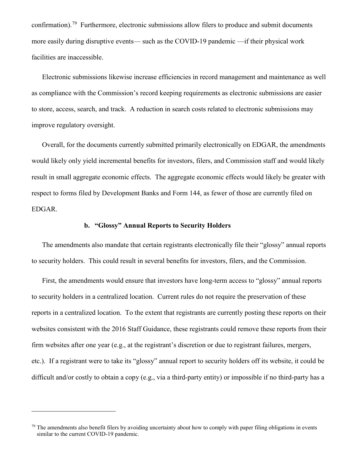confirmation).[79](#page-28-0) Furthermore, electronic submissions allow filers to produce and submit documents more easily during disruptive events— such as the COVID-19 pandemic —if their physical work facilities are inaccessible.

Electronic submissions likewise increase efficiencies in record management and maintenance as well as compliance with the Commission's record keeping requirements as electronic submissions are easier to store, access, search, and track. A reduction in search costs related to electronic submissions may improve regulatory oversight.

Overall, for the documents currently submitted primarily electronically on EDGAR, the amendments would likely only yield incremental benefits for investors, filers, and Commission staff and would likely result in small aggregate economic effects. The aggregate economic effects would likely be greater with respect to forms filed by Development Banks and Form 144, as fewer of those are currently filed on EDGAR.

# **b. "Glossy" Annual Reports to Security Holders**

The amendments also mandate that certain registrants electronically file their "glossy" annual reports to security holders. This could result in several benefits for investors, filers, and the Commission.

First, the amendments would ensure that investors have long-term access to "glossy" annual reports to security holders in a centralized location. Current rules do not require the preservation of these reports in a centralized location. To the extent that registrants are currently posting these reports on their websites consistent with the 2016 Staff Guidance, these registrants could remove these reports from their firm websites after one year (e.g., at the registrant's discretion or due to registrant failures, mergers, etc.). If a registrant were to take its "glossy" annual report to security holders off its website, it could be difficult and/or costly to obtain a copy (e.g., via a third-party entity) or impossible if no third-party has a

<span id="page-28-0"></span> $79$  The amendments also benefit filers by avoiding uncertainty about how to comply with paper filing obligations in events similar to the current COVID-19 pandemic.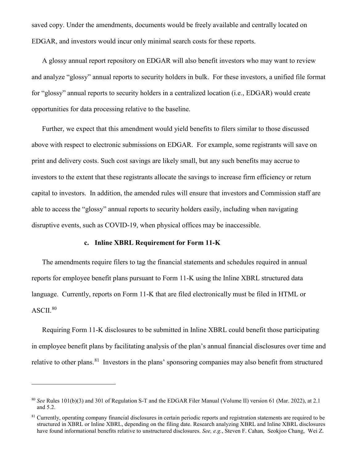saved copy. Under the amendments, documents would be freely available and centrally located on EDGAR, and investors would incur only minimal search costs for these reports.

A glossy annual report repository on EDGAR will also benefit investors who may want to review and analyze "glossy" annual reports to security holders in bulk. For these investors, a unified file format for "glossy" annual reports to security holders in a centralized location (i.e., EDGAR) would create opportunities for data processing relative to the baseline.

Further, we expect that this amendment would yield benefits to filers similar to those discussed above with respect to electronic submissions on EDGAR. For example, some registrants will save on print and delivery costs. Such cost savings are likely small, but any such benefits may accrue to investors to the extent that these registrants allocate the savings to increase firm efficiency or return capital to investors. In addition, the amended rules will ensure that investors and Commission staff are able to access the "glossy" annual reports to security holders easily, including when navigating disruptive events, such as COVID-19, when physical offices may be inaccessible.

## **c. Inline XBRL Requirement for Form 11-K**

The amendments require filers to tag the financial statements and schedules required in annual reports for employee benefit plans pursuant to Form 11-K using the Inline XBRL structured data language. Currently, reports on Form 11-K that are filed electronically must be filed in HTML or  $ASCII.<sup>80</sup>$  $ASCII.<sup>80</sup>$  $ASCII.<sup>80</sup>$ 

Requiring Form 11-K disclosures to be submitted in Inline XBRL could benefit those participating in employee benefit plans by facilitating analysis of the plan's annual financial disclosures over time and relative to other plans.<sup>[81](#page-29-1)</sup> Investors in the plans' sponsoring companies may also benefit from structured

<span id="page-29-0"></span><sup>80</sup> *See* Rules 101(b)(3) and 301 of Regulation S-T and the EDGAR Filer Manual (Volume II) version 61 (Mar. 2022), at 2.1 and 5.2.

<span id="page-29-1"></span><sup>&</sup>lt;sup>81</sup> Currently, operating company financial disclosures in certain periodic reports and registration statements are required to be structured in XBRL or Inline XBRL, depending on the filing date. Research analyzing XBRL and Inline XBRL disclosures have found informational benefits relative to unstructured disclosures. *See, e.g.*, Steven F. Cahan, Seokjoo Chang, Wei Z.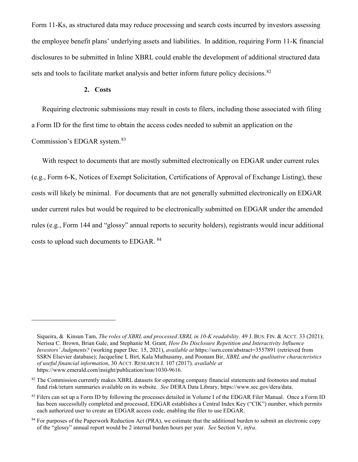Form 11-Ks, as structured data may reduce processing and search costs incurred by investors assessing the employee benefit plans' underlying assets and liabilities. In addition, requiring Form 11-K financial disclosures to be submitted in Inline XBRL could enable the development of additional structured data sets and tools to facilitate market analysis and better inform future policy decisions.<sup>[82](#page-30-0)</sup>

#### **2. Costs**

 $\overline{a}$ 

Requiring electronic submissions may result in costs to filers, including those associated with filing a Form ID for the first time to obtain the access codes needed to submit an application on the Commission's EDGAR system.[83](#page-30-1) 

With respect to documents that are mostly submitted electronically on EDGAR under current rules (e.g., Form 6-K, Notices of Exempt Solicitation, Certifications of Approval of Exchange Listing), these costs will likely be minimal. For documents that are not generally submitted electronically on EDGAR under current rules but would be required to be electronically submitted on EDGAR under the amended rules (e.g., Form 144 and "glossy" annual reports to security holders), registrants would incur additional costs to upload such documents to EDGAR. [84](#page-30-2)

Siqueira, & Kinsun Tam, *The roles of XBRL and processed XBRL in 10-K readability*. 49 J. BUS. FIN. & ACCT. 33 (2021); Nerissa C. Brown, Brian Gale, and Stephanie M. Grant, *How Do Disclosure Repetition and Interactivity Influence Investors' Judgments?* (working paper Dec. 15, 2021), *available at* https://ssrn.com/abstract=3557891 (retrieved from SSRN Elsevier database); Jacqueline L Birt, Kala Muthusamy, and Poonam Bir, *XBRL and the qualitative characteristics of useful financial information*, 30 ACCT. RESEARCH J. 107 (2017)*, available at* https://www.emerald.com/insight/publication/issn/1030-9616.

<span id="page-30-0"></span><sup>&</sup>lt;sup>82</sup> The Commission currently makes XBRL datasets for operating company financial statements and footnotes and mutual fund risk/return summaries available on its website. *See* DERA Data Library, https://www.sec.gov/dera/data.

<span id="page-30-1"></span><sup>&</sup>lt;sup>83</sup> Filers can set up a Form ID by following the processes detailed in Volume I of the EDGAR Filer Manual. Once a Form ID has been successfully completed and processed, EDGAR establishes a Central Index Key ("CIK") number, which permits each authorized user to create an EDGAR access code, enabling the filer to use EDGAR.

<span id="page-30-2"></span><sup>&</sup>lt;sup>84</sup> For purposes of the Paperwork Reduction Act (PRA), we estimate that the additional burden to submit an electronic copy of the "glossy" annual report would be 2 internal burden hours per year. *See* Section V, *infra*.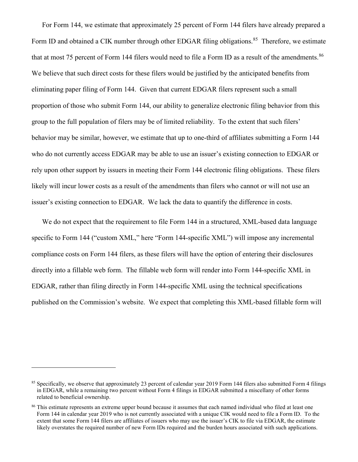For Form 144, we estimate that approximately 25 percent of Form 144 filers have already prepared a Form ID and obtained a CIK number through other EDGAR filing obligations.<sup>[85](#page-31-0)</sup> Therefore, we estimate that at most 75 percent of Form 144 filers would need to file a Form ID as a result of the amendments.<sup>[86](#page-31-1)</sup> We believe that such direct costs for these filers would be justified by the anticipated benefits from eliminating paper filing of Form 144. Given that current EDGAR filers represent such a small proportion of those who submit Form 144, our ability to generalize electronic filing behavior from this group to the full population of filers may be of limited reliability. To the extent that such filers' behavior may be similar, however, we estimate that up to one-third of affiliates submitting a Form 144 who do not currently access EDGAR may be able to use an issuer's existing connection to EDGAR or rely upon other support by issuers in meeting their Form 144 electronic filing obligations. These filers likely will incur lower costs as a result of the amendments than filers who cannot or will not use an issuer's existing connection to EDGAR. We lack the data to quantify the difference in costs.

We do not expect that the requirement to file Form 144 in a structured, XML-based data language specific to Form 144 ("custom XML," here "Form 144-specific XML") will impose any incremental compliance costs on Form 144 filers, as these filers will have the option of entering their disclosures directly into a fillable web form. The fillable web form will render into Form 144-specific XML in EDGAR, rather than filing directly in Form 144-specific XML using the technical specifications published on the Commission's website. We expect that completing this XML-based fillable form will

<span id="page-31-0"></span><sup>85</sup> Specifically, we observe that approximately 23 percent of calendar year 2019 Form 144 filers also submitted Form 4 filings in EDGAR, while a remaining two percent without Form 4 filings in EDGAR submitted a miscellany of other forms related to beneficial ownership.

<span id="page-31-1"></span><sup>&</sup>lt;sup>86</sup> This estimate represents an extreme upper bound because it assumes that each named individual who filed at least one Form 144 in calendar year 2019 who is not currently associated with a unique CIK would need to file a Form ID. To the extent that some Form 144 filers are affiliates of issuers who may use the issuer's CIK to file via EDGAR, the estimate likely overstates the required number of new Form IDs required and the burden hours associated with such applications.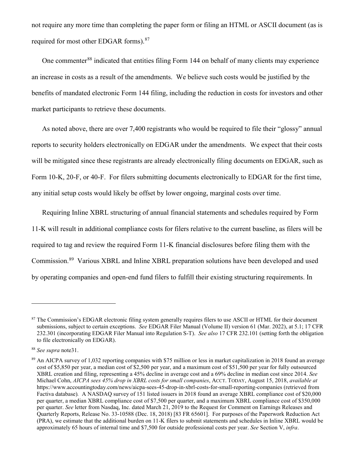not require any more time than completing the paper form or filing an HTML or ASCII document (as is required for most other EDGAR forms).<sup>[87](#page-32-0)</sup>

One commenter<sup>[88](#page-32-1)</sup> indicated that entities filing Form 144 on behalf of many clients may experience an increase in costs as a result of the amendments. We believe such costs would be justified by the benefits of mandated electronic Form 144 filing, including the reduction in costs for investors and other market participants to retrieve these documents.

As noted above, there are over 7,400 registrants who would be required to file their "glossy" annual reports to security holders electronically on EDGAR under the amendments. We expect that their costs will be mitigated since these registrants are already electronically filing documents on EDGAR, such as Form 10-K, 20-F, or 40-F. For filers submitting documents electronically to EDGAR for the first time, any initial setup costs would likely be offset by lower ongoing, marginal costs over time.

Requiring Inline XBRL structuring of annual financial statements and schedules required by Form 11-K will result in additional compliance costs for filers relative to the current baseline, as filers will be required to tag and review the required Form 11-K financial disclosures before filing them with the Commission.[89](#page-32-2) Various XBRL and Inline XBRL preparation solutions have been developed and used by operating companies and open-end fund filers to fulfill their existing structuring requirements. In

<span id="page-32-0"></span><sup>&</sup>lt;sup>87</sup> The Commission's EDGAR electronic filing system generally requires filers to use ASCII or HTML for their document submissions, subject to certain exceptions. *See* EDGAR Filer Manual (Volume II) version 61 (Mar. 2022), at 5.1; 17 CFR 232.301 (incorporating EDGAR Filer Manual into Regulation S-T). *See also* 17 CFR 232.101 (setting forth the obligation to file electronically on EDGAR).

<span id="page-32-1"></span><sup>88</sup> *See supra* note31.

<span id="page-32-2"></span><sup>89</sup> An AICPA survey of 1,032 reporting companies with \$75 million or less in market capitalization in 2018 found an average cost of \$5,850 per year, a median cost of \$2,500 per year, and a maximum cost of \$51,500 per year for fully outsourced XBRL creation and filing, representing a 45% decline in average cost and a 69% decline in median cost since 2014. *See*  Michael Cohn, *AICPA sees 45% drop in XBRL costs for small companies*, ACCT. TODAY, August 15, 2018, *available at* https://www.accountingtoday.com/news/aicpa-sees-45-drop-in-xbrl-costs-for-small-reporting-companies (retrieved from Factiva database)*.* A NASDAQ survey of 151 listed issuers in 2018 found an average XBRL compliance cost of \$20,000 per quarter, a median XBRL compliance cost of \$7,500 per quarter, and a maximum XBRL compliance cost of \$350,000 per quarter. *See* letter from Nasdaq, Inc. dated March 21, 2019 to the Request for Comment on Earnings Releases and Quarterly Reports, Release No. 33-10588 (Dec. 18, 2018) [83 FR 65601]. For purposes of the Paperwork Reduction Act (PRA), we estimate that the additional burden on 11-K filers to submit statements and schedules in Inline XBRL would be approximately 65 hours of internal time and \$7,500 for outside professional costs per year. *See* Section V, *infra*.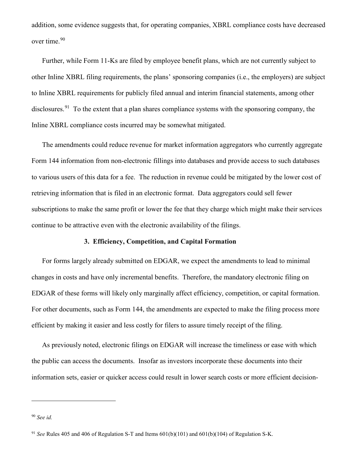addition, some evidence suggests that, for operating companies, XBRL compliance costs have decreased over time.<sup>[90](#page-33-0)</sup>

Further, while Form 11-Ks are filed by employee benefit plans, which are not currently subject to other Inline XBRL filing requirements, the plans' sponsoring companies (i.e., the employers) are subject to Inline XBRL requirements for publicly filed annual and interim financial statements, among other disclosures.<sup>[91](#page-33-1)</sup> To the extent that a plan shares compliance systems with the sponsoring company, the Inline XBRL compliance costs incurred may be somewhat mitigated.

The amendments could reduce revenue for market information aggregators who currently aggregate Form 144 information from non-electronic fillings into databases and provide access to such databases to various users of this data for a fee. The reduction in revenue could be mitigated by the lower cost of retrieving information that is filed in an electronic format. Data aggregators could sell fewer subscriptions to make the same profit or lower the fee that they charge which might make their services continue to be attractive even with the electronic availability of the filings.

# **3. Efficiency, Competition, and Capital Formation**

For forms largely already submitted on EDGAR, we expect the amendments to lead to minimal changes in costs and have only incremental benefits. Therefore, the mandatory electronic filing on EDGAR of these forms will likely only marginally affect efficiency, competition, or capital formation. For other documents, such as Form 144, the amendments are expected to make the filing process more efficient by making it easier and less costly for filers to assure timely receipt of the filing.

As previously noted, electronic filings on EDGAR will increase the timeliness or ease with which the public can access the documents. Insofar as investors incorporate these documents into their information sets, easier or quicker access could result in lower search costs or more efficient decision-

<span id="page-33-0"></span><sup>90</sup> *See id.*

<span id="page-33-1"></span><sup>91</sup> *See* Rules 405 and 406 of Regulation S-T and Items 601(b)(101) and 601(b)(104) of Regulation S-K.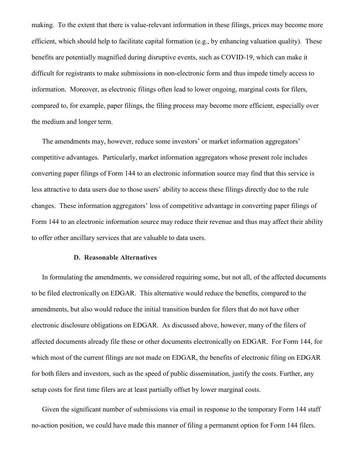making. To the extent that there is value-relevant information in these filings, prices may become more efficient, which should help to facilitate capital formation (e.g., by enhancing valuation quality). These benefits are potentially magnified during disruptive events, such as COVID-19, which can make it difficult for registrants to make submissions in non-electronic form and thus impede timely access to information. Moreover, as electronic filings often lead to lower ongoing, marginal costs for filers, compared to, for example, paper filings, the filing process may become more efficient, especially over the medium and longer term.

The amendments may, however, reduce some investors' or market information aggregators' competitive advantages. Particularly, market information aggregators whose present role includes converting paper filings of Form 144 to an electronic information source may find that this service is less attractive to data users due to those users' ability to access these filings directly due to the rule changes. These information aggregators' loss of competitive advantage in converting paper filings of Form 144 to an electronic information source may reduce their revenue and thus may affect their ability to offer other ancillary services that are valuable to data users.

#### **D. Reasonable Alternatives**

In formulating the amendments, we considered requiring some, but not all, of the affected documents to be filed electronically on EDGAR. This alternative would reduce the benefits, compared to the amendments, but also would reduce the initial transition burden for filers that do not have other electronic disclosure obligations on EDGAR. As discussed above, however, many of the filers of affected documents already file these or other documents electronically on EDGAR. For Form 144, for which most of the current filings are not made on EDGAR, the benefits of electronic filing on EDGAR for both filers and investors, such as the speed of public dissemination, justify the costs. Further, any setup costs for first time filers are at least partially offset by lower marginal costs.

Given the significant number of submissions via email in response to the temporary Form 144 staff no-action position, we could have made this manner of filing a permanent option for Form 144 filers.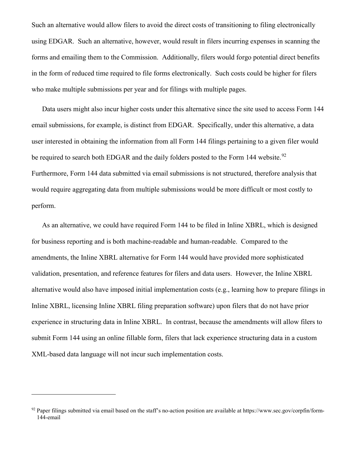Such an alternative would allow filers to avoid the direct costs of transitioning to filing electronically using EDGAR. Such an alternative, however, would result in filers incurring expenses in scanning the forms and emailing them to the Commission. Additionally, filers would forgo potential direct benefits in the form of reduced time required to file forms electronically. Such costs could be higher for filers who make multiple submissions per year and for filings with multiple pages.

Data users might also incur higher costs under this alternative since the site used to access Form 144 email submissions, for example, is distinct from EDGAR. Specifically, under this alternative, a data user interested in obtaining the information from all Form 144 filings pertaining to a given filer would be required to search both EDGAR and the daily folders posted to the Form 144 website.<sup>[92](#page-35-0)</sup> Furthermore, Form 144 data submitted via email submissions is not structured, therefore analysis that would require aggregating data from multiple submissions would be more difficult or most costly to perform.

As an alternative, we could have required Form 144 to be filed in Inline XBRL, which is designed for business reporting and is both machine-readable and human-readable. Compared to the amendments, the Inline XBRL alternative for Form 144 would have provided more sophisticated validation, presentation, and reference features for filers and data users. However, the Inline XBRL alternative would also have imposed initial implementation costs (e.g., learning how to prepare filings in Inline XBRL, licensing Inline XBRL filing preparation software) upon filers that do not have prior experience in structuring data in Inline XBRL. In contrast, because the amendments will allow filers to submit Form 144 using an online fillable form, filers that lack experience structuring data in a custom XML-based data language will not incur such implementation costs.

<span id="page-35-0"></span> $92$  Paper filings submitted via email based on the staff's no-action position are available at https://www.sec.gov/corpfin/form-144-email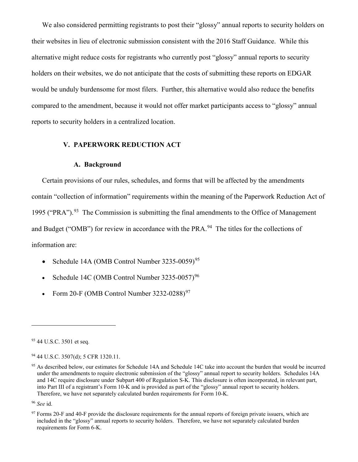We also considered permitting registrants to post their "glossy" annual reports to security holders on their websites in lieu of electronic submission consistent with the 2016 Staff Guidance. While this alternative might reduce costs for registrants who currently post "glossy" annual reports to security holders on their websites, we do not anticipate that the costs of submitting these reports on EDGAR would be unduly burdensome for most filers. Further, this alternative would also reduce the benefits compared to the amendment, because it would not offer market participants access to "glossy" annual reports to security holders in a centralized location.

### **V. PAPERWORK REDUCTION ACT**

#### **A. Background**

Certain provisions of our rules, schedules, and forms that will be affected by the amendments contain "collection of information" requirements within the meaning of the Paperwork Reduction Act of 1995 ("PRA").<sup>93</sup> The Commission is submitting the final amendments to the Office of Management and Budget ("OMB") for review in accordance with the PRA.<sup>[94](#page-36-1)</sup> The titles for the collections of information are:

- Schedule 14A (OMB Control Number  $3235-0059$ )<sup>[95](#page-36-2)</sup>
- Schedule 14C (OMB Control Number  $3235-0057$ )<sup>[96](#page-36-3)</sup>
- Form 20-F (OMB Control Number 3232-0288) $97$

<span id="page-36-0"></span><sup>93 44</sup> U.S.C. 3501 et seq.

<span id="page-36-1"></span><sup>94</sup> 44 U.S.C. 3507(d); 5 CFR 1320.11.

<span id="page-36-2"></span><sup>&</sup>lt;sup>95</sup> As described below, our estimates for Schedule 14A and Schedule 14C take into account the burden that would be incurred under the amendments to require electronic submission of the "glossy" annual report to security holders. Schedules 14A and 14C require disclosure under Subpart 400 of Regulation S-K. This disclosure is often incorporated, in relevant part, into Part III of a registrant's Form 10-K and is provided as part of the "glossy" annual report to security holders. Therefore, we have not separately calculated burden requirements for Form 10-K.

<span id="page-36-3"></span><sup>96</sup> *See* id.

<span id="page-36-4"></span> $97$  Forms 20-F and 40-F provide the disclosure requirements for the annual reports of foreign private issuers, which are included in the "glossy" annual reports to security holders. Therefore, we have not separately calculated burden requirements for Form 6-K.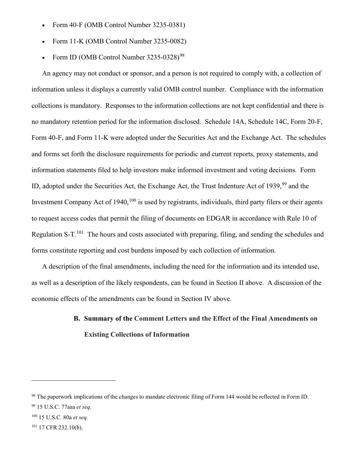- Form 40-F (OMB Control Number 3235-0381)
- Form 11-K (OMB Control Number 3235-0082)
- Form ID (OMB Control Number 3235-0328)<sup>[98](#page-37-0)</sup>

An agency may not conduct or sponsor, and a person is not required to comply with, a collection of information unless it displays a currently valid OMB control number. Compliance with the information collections is mandatory. Responses to the information collections are not kept confidential and there is no mandatory retention period for the information disclosed. Schedule 14A, Schedule 14C, Form 20-F, Form 40-F, and Form 11-K were adopted under the Securities Act and the Exchange Act. The schedules and forms set forth the disclosure requirements for periodic and current reports, proxy statements, and information statements filed to help investors make informed investment and voting decisions. Form ID, adopted under the Securities Act, the Exchange Act, the Trust Indenture Act of 1939,<sup>[99](#page-37-1)</sup> and the Investment Company Act of 1940,<sup>[100](#page-37-2)</sup> is used by registrants, individuals, third party filers or their agents to request access codes that permit the filing of documents on EDGAR in accordance with Rule 10 of Regulation S-T.<sup>[101](#page-37-3)</sup> The hours and costs associated with preparing, filing, and sending the schedules and forms constitute reporting and cost burdens imposed by each collection of information.

A description of the final amendments, including the need for the information and its intended use, as well as a description of the likely respondents, can be found in Section II above. A discussion of the economic effects of the amendments can be found in Section IV above.

# **B. Summary of the Comment Letters and the Effect of the Final Amendments on Existing Collections of Information**

<span id="page-37-0"></span><sup>&</sup>lt;sup>98</sup> The paperwork implications of the changes to mandate electronic filing of Form 144 would be reflected in Form ID.

<span id="page-37-1"></span><sup>99</sup> 15 U.S.C. 77aaa *et seq.*

<span id="page-37-2"></span><sup>100</sup> 15 U.S.C. 80a *et seq.*

<span id="page-37-3"></span><sup>101</sup> 17 CFR 232.10(b).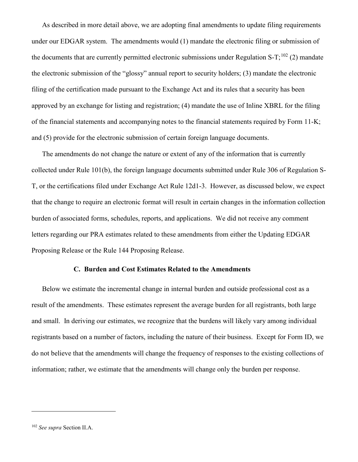As described in more detail above, we are adopting final amendments to update filing requirements under our EDGAR system. The amendments would (1) mandate the electronic filing or submission of the documents that are currently permitted electronic submissions under Regulation S-T;<sup>[102](#page-38-0)</sup> (2) mandate the electronic submission of the "glossy" annual report to security holders; (3) mandate the electronic filing of the certification made pursuant to the Exchange Act and its rules that a security has been approved by an exchange for listing and registration; (4) mandate the use of Inline XBRL for the filing of the financial statements and accompanying notes to the financial statements required by Form 11-K; and (5) provide for the electronic submission of certain foreign language documents.

The amendments do not change the nature or extent of any of the information that is currently collected under Rule 101(b), the foreign language documents submitted under Rule 306 of Regulation S-T, or the certifications filed under Exchange Act Rule 12d1-3. However, as discussed below, we expect that the change to require an electronic format will result in certain changes in the information collection burden of associated forms, schedules, reports, and applications. We did not receive any comment letters regarding our PRA estimates related to these amendments from either the Updating EDGAR Proposing Release or the Rule 144 Proposing Release.

## **C. Burden and Cost Estimates Related to the Amendments**

Below we estimate the incremental change in internal burden and outside professional cost as a result of the amendments. These estimates represent the average burden for all registrants, both large and small. In deriving our estimates, we recognize that the burdens will likely vary among individual registrants based on a number of factors, including the nature of their business. Except for Form ID, we do not believe that the amendments will change the frequency of responses to the existing collections of information; rather, we estimate that the amendments will change only the burden per response.

<span id="page-38-0"></span><sup>102</sup> *See supra* Section II.A.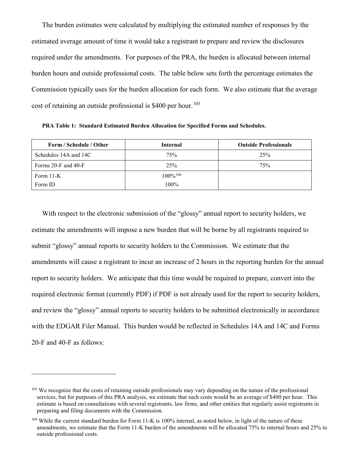The burden estimates were calculated by multiplying the estimated number of responses by the estimated average amount of time it would take a registrant to prepare and review the disclosures required under the amendments. For purposes of the PRA, the burden is allocated between internal burden hours and outside professional costs. The table below sets forth the percentage estimates the Commission typically uses for the burden allocation for each form. We also estimate that the average cost of retaining an outside professional is  $$400$  per hour.<sup>[103](#page-39-0)</sup>

**PRA Table 1: Standard Estimated Burden Allocation for Specified Forms and Schedules.**

| Form / Schedule / Other   | <b>Internal</b>        | <b>Outside Professionals</b> |
|---------------------------|------------------------|------------------------------|
| Schedules 14A and 14C     | 75%                    | 25%                          |
| Forms $20$ -F and $40$ -F | $2.5\%$                | 75%                          |
| Form $11-K$               | $100\%$ <sup>104</sup> |                              |
| Form ID                   | $100\%$                |                              |

With respect to the electronic submission of the "glossy" annual report to security holders, we estimate the amendments will impose a new burden that will be borne by all registrants required to submit "glossy" annual reports to security holders to the Commission. We estimate that the amendments will cause a registrant to incur an increase of 2 hours in the reporting burden for the annual report to security holders. We anticipate that this time would be required to prepare, convert into the required electronic format (currently PDF) if PDF is not already used for the report to security holders, and review the "glossy" annual reports to security holders to be submitted electronically in accordance with the EDGAR Filer Manual. This burden would be reflected in Schedules 14A and 14C and Forms 20-F and 40-F as follows:

<span id="page-39-0"></span><sup>&</sup>lt;sup>103</sup> We recognize that the costs of retaining outside professionals may vary depending on the nature of the professional services, but for purposes of this PRA analysis, we estimate that such costs would be an average of \$400 per hour. This estimate is based on consultations with several registrants, law firms, and other entities that regularly assist registrants in preparing and filing documents with the Commission.

<span id="page-39-1"></span><sup>&</sup>lt;sup>104</sup> While the current standard burden for Form 11-K is 100% internal, as noted below, in light of the nature of these amendments, we estimate that the Form 11-K burden of the amendments will be allocated 75% to internal hours and 25% to outside professional costs.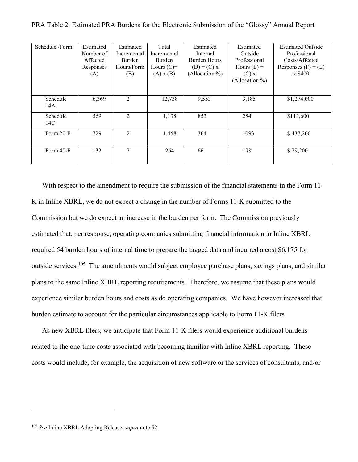| Schedule /Form | Estimated | Estimated      | Total         | Estimated      | Estimated      | <b>Estimated Outside</b><br>Professional |  |
|----------------|-----------|----------------|---------------|----------------|----------------|------------------------------------------|--|
|                | Number of | Incremental    | Incremental   | Internal       | Outside        |                                          |  |
|                | Affected  | <b>Burden</b>  | <b>Burden</b> | Burden Hours   | Professional   | Costs/Affected                           |  |
|                | Responses | Hours/Form     | Hours $(C)=$  | $(D) = (C) x$  | Hours $(E)$ =  | Responses $(F) = (E)$                    |  |
|                | (A)       | (B)            | $(A)$ x $(B)$ | (Allocation %) | $(C)$ x        | x \$400                                  |  |
|                |           |                |               |                | (Allocation %) |                                          |  |
|                |           |                |               |                |                |                                          |  |
| Schedule       | 6,369     | 2              | 12,738        | 9,553          | 3,185          | \$1,274,000                              |  |
| 14A            |           |                |               |                |                |                                          |  |
| Schedule       | 569       | 2              | 1,138         | 853            | 284            | \$113,600                                |  |
| 14C            |           |                |               |                |                |                                          |  |
| Form 20-F      | 729       | $\overline{2}$ | 1,458         | 364            | 1093           | \$437,200                                |  |
|                |           |                |               |                |                |                                          |  |
| Form 40-F      | 132       | 2              | 264           | 66             | 198            | \$79,200                                 |  |
|                |           |                |               |                |                |                                          |  |
|                |           |                |               |                |                |                                          |  |

PRA Table 2: Estimated PRA Burdens for the Electronic Submission of the "Glossy" Annual Report

With respect to the amendment to require the submission of the financial statements in the Form 11- K in Inline XBRL, we do not expect a change in the number of Forms 11-K submitted to the Commission but we do expect an increase in the burden per form. The Commission previously estimated that, per response, operating companies submitting financial information in Inline XBRL required 54 burden hours of internal time to prepare the tagged data and incurred a cost \$6,175 for outside services.<sup>[105](#page-40-0)</sup> The amendments would subject employee purchase plans, savings plans, and similar plans to the same Inline XBRL reporting requirements. Therefore, we assume that these plans would experience similar burden hours and costs as do operating companies. We have however increased that burden estimate to account for the particular circumstances applicable to Form 11-K filers.

As new XBRL filers, we anticipate that Form 11-K filers would experience additional burdens related to the one-time costs associated with becoming familiar with Inline XBRL reporting. These costs would include, for example, the acquisition of new software or the services of consultants, and/or

<span id="page-40-0"></span><sup>105</sup> *See* Inline XBRL Adopting Release, *supra* note 52.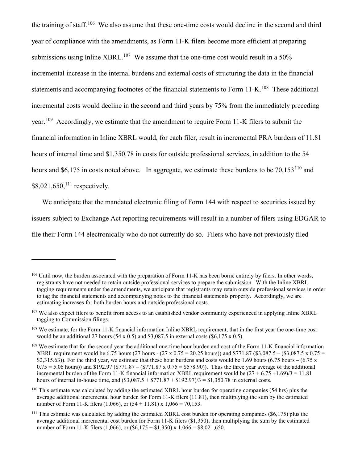the training of staff.<sup>[106](#page-41-0)</sup> We also assume that these one-time costs would decline in the second and third year of compliance with the amendments, as Form 11-K filers become more efficient at preparing submissions using Inline XBRL.<sup>[107](#page-41-1)</sup> We assume that the one-time cost would result in a 50% incremental increase in the internal burdens and external costs of structuring the data in the financial statements and accompanying footnotes of the financial statements to Form  $11\text{-K}$ .<sup>[108](#page-41-2)</sup> These additional incremental costs would decline in the second and third years by 75% from the immediately preceding year.<sup>[109](#page-41-3)</sup> Accordingly, we estimate that the amendment to require Form 11-K filers to submit the financial information in Inline XBRL would, for each filer, result in incremental PRA burdens of 11.81 hours of internal time and \$1,350.78 in costs for outside professional services, in addition to the 54 hours and \$6,175 in costs noted above. In aggregate, we estimate these burdens to be  $70,153^{110}$  $70,153^{110}$  $70,153^{110}$  and  $$8,021,650$ ,<sup>[111](#page-41-5)</sup> respectively.

We anticipate that the mandated electronic filing of Form 144 with respect to securities issued by issuers subject to Exchange Act reporting requirements will result in a number of filers using EDGAR to file their Form 144 electronically who do not currently do so. Filers who have not previously filed

<span id="page-41-0"></span><sup>&</sup>lt;sup>106</sup> Until now, the burden associated with the preparation of Form 11-K has been borne entirely by filers. In other words, registrants have not needed to retain outside professional services to prepare the submission. With the Inline XBRL tagging requirements under the amendments, we anticipate that registrants may retain outside professional services in order to tag the financial statements and accompanying notes to the financial statements properly. Accordingly, we are estimating increases for both burden hours and outside professional costs.

<span id="page-41-1"></span> $107$  We also expect filers to benefit from access to an established vendor community experienced in applying Inline XBRL tagging to Commission filings.

<span id="page-41-2"></span><sup>&</sup>lt;sup>108</sup> We estimate, for the Form 11-K financial information Inline XBRL requirement, that in the first year the one-time cost would be an additional 27 hours  $(54 \times 0.5)$  and \$3,087.5 in external costs  $(\$6,175 \times 0.5)$ .

<span id="page-41-3"></span><sup>&</sup>lt;sup>109</sup> We estimate that for the second year the additional one-time hour burden and cost of the Form 11-K financial information XBRL requirement would be 6.75 hours (27 hours - (27 x 0.75 = 20.25 hours)) and \$771.87 (\$3,087.5 – (\$3,087.5 x 0.75 = \$2,315.63)). For the third year, we estimate that these hour burdens and costs would be 1.69 hours  $(6.75 \text{ hours} - (6.75 \text{ x})$  $0.75 = 5.06$  hours)) and \$192.97 (\$771.87 – (\$771.87 x 0.75 = \$578.90)). Thus the three year average of the additional incremental burden of the Form 11-K financial information XBRL requirement would be  $(27 + 6.75 +1.69)/3 = 11.81$ hours of internal in-house time, and  $(\$3,087.5 + \$771.87 + \$192.97)/3 = \$1,350.78$  in external costs.

<span id="page-41-4"></span><sup>&</sup>lt;sup>110</sup> This estimate was calculated by adding the estimated XBRL hour burden for operating companies (54 hrs) plus the average additional incremental hour burden for Form 11-K filers (11.81), then multiplying the sum by the estimated number of Form 11-K filers (1,066), or  $(54 + 11.81)$  x  $1,066 = 70,153$ .

<span id="page-41-5"></span> $111$  This estimate was calculated by adding the estimated XBRL cost burden for operating companies (\$6,175) plus the average additional incremental cost burden for Form 11-K filers (\$1,350), then multiplying the sum by the estimated number of Form 11-K filers (1,066), or  $(\$6,175 + \$1,350) \times 1,066 = \$8,021,650$ .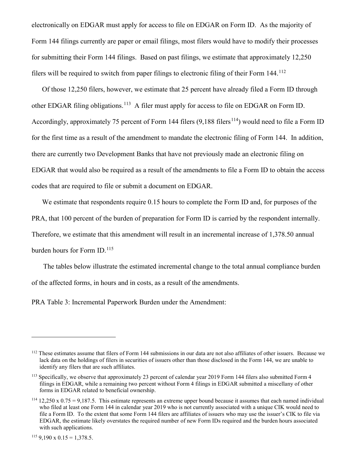electronically on EDGAR must apply for access to file on EDGAR on Form ID. As the majority of Form 144 filings currently are paper or email filings, most filers would have to modify their processes for submitting their Form 144 filings. Based on past filings, we estimate that approximately 12,250 filers will be required to switch from paper filings to electronic filing of their Form 144.[112](#page-42-0)

Of those 12,250 filers, however, we estimate that 25 percent have already filed a Form ID through other EDGAR filing obligations.<sup>[113](#page-42-1)</sup> A filer must apply for access to file on EDGAR on Form ID. Accordingly, approximately 75 percent of Form 144 filers  $(9,188 \text{ filters}^{114})$  would need to file a Form ID for the first time as a result of the amendment to mandate the electronic filing of Form 144. In addition, there are currently two Development Banks that have not previously made an electronic filing on EDGAR that would also be required as a result of the amendments to file a Form ID to obtain the access codes that are required to file or submit a document on EDGAR.

We estimate that respondents require 0.15 hours to complete the Form ID and, for purposes of the PRA, that 100 percent of the burden of preparation for Form ID is carried by the respondent internally. Therefore, we estimate that this amendment will result in an incremental increase of 1,378.50 annual burden hours for Form ID.<sup>[115](#page-42-3)</sup>

The tables below illustrate the estimated incremental change to the total annual compliance burden of the affected forms, in hours and in costs, as a result of the amendments.

PRA Table 3: Incremental Paperwork Burden under the Amendment:

<span id="page-42-0"></span><sup>&</sup>lt;sup>112</sup> These estimates assume that filers of Form 144 submissions in our data are not also affiliates of other issuers. Because we lack data on the holdings of filers in securities of issuers other than those disclosed in the Form 144, we are unable to identify any filers that are such affiliates.

<span id="page-42-1"></span><sup>&</sup>lt;sup>113</sup> Specifically, we observe that approximately 23 percent of calendar year 2019 Form 144 filers also submitted Form 4 filings in EDGAR, while a remaining two percent without Form 4 filings in EDGAR submitted a miscellany of other forms in EDGAR related to beneficial ownership.

<span id="page-42-2"></span> $114$  12,250 x 0.75 = 9,187.5. This estimate represents an extreme upper bound because it assumes that each named individual who filed at least one Form 144 in calendar year 2019 who is not currently associated with a unique CIK would need to file a Form ID. To the extent that some Form 144 filers are affiliates of issuers who may use the issuer's CIK to file via EDGAR, the estimate likely overstates the required number of new Form IDs required and the burden hours associated with such applications.

<span id="page-42-3"></span> $115$  9.190 x 0.15 = 1.378.5.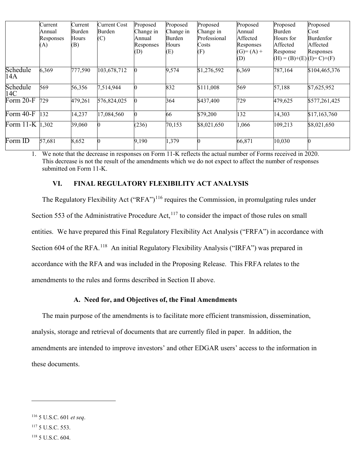|                 | Current<br>Annual<br>Responses<br>(A) | Current<br>Burden<br>Hours<br>(B) | <b>Current Cost</b><br>Burden<br>$\left( $ | Proposed<br>Change in<br>Annual<br>Responses<br>(D) | Proposed<br>Change in<br>Burden<br>Hours<br>(E) | Proposed<br>Change in<br>Professional<br>Costs<br>(F) | Proposed<br>Annual<br>Affected<br>Responses<br>$(G) = (A) +$<br>(D) | Proposed<br>Burden<br>Hours for<br>Affected<br>Response<br>$(H) = (B)+(E)(I)= C+(F)$ | Proposed<br>Cost<br>Burdenfor<br>Affected<br>Responses |
|-----------------|---------------------------------------|-----------------------------------|--------------------------------------------|-----------------------------------------------------|-------------------------------------------------|-------------------------------------------------------|---------------------------------------------------------------------|--------------------------------------------------------------------------------------|--------------------------------------------------------|
| Schedule<br>14A | 6,369                                 | 777,590                           | 103,678,712                                |                                                     | 9,574                                           | \$1,276,592                                           | 6,369                                                               | 787,164                                                                              | \$104,465,376                                          |
| Schedule<br>14C | 569                                   | 56,356                            | 7,514,944                                  |                                                     | 832                                             | \$111,008                                             | 569                                                                 | 57,188                                                                               | \$7,625,952                                            |
| Form 20-F       | 729                                   | 479,261                           | 576,824,025                                |                                                     | 364                                             | \$437,400                                             | 729                                                                 | 479,625                                                                              | \$577,261,425                                          |
| Form $40-F$     | 132                                   | 14,237                            | 17,084,560                                 | 0                                                   | 66                                              | \$79,200                                              | 132                                                                 | 14,303                                                                               | \$17,163,760                                           |
| Form $11-K$     | 1,302                                 | 39,060                            | 0                                          | (236)                                               | 70,153                                          | \$8,021,650                                           | 1,066                                                               | 109,213                                                                              | \$8,021,650                                            |
| Form ID         | 57,681                                | 8,652                             | 0                                          | 9,190                                               | 1,379                                           |                                                       | 66,871                                                              | 10,030                                                                               |                                                        |

1. We note that the decrease in responses on Form 11-K reflects the actual number of Forms received in 2020. This decrease is not the result of the amendments which we do not expect to affect the number of responses submitted on Form 11-K.

## **VI. FINAL REGULATORY FLEXIBILITY ACT ANALYSIS**

The Regulatory Flexibility Act ("RFA")<sup>[116](#page-43-0)</sup> requires the Commission, in promulgating rules under Section 553 of the Administrative Procedure Act, $117$  to consider the impact of those rules on small entities. We have prepared this Final Regulatory Flexibility Act Analysis ("FRFA") in accordance with Section 604 of the RFA.<sup>[118](#page-43-2)</sup> An initial Regulatory Flexibility Analysis ("IRFA") was prepared in accordance with the RFA and was included in the Proposing Release. This FRFA relates to the amendments to the rules and forms described in Section II above.

#### **A. Need for, and Objectives of, the Final Amendments**

The main purpose of the amendments is to facilitate more efficient transmission, dissemination, analysis, storage and retrieval of documents that are currently filed in paper. In addition, the amendments are intended to improve investors' and other EDGAR users' access to the information in these documents.

<span id="page-43-2"></span><span id="page-43-1"></span><span id="page-43-0"></span><sup>116</sup> 5 U.S.C. 601 *et seq*. <sup>117</sup> 5 U.S.C. 553. <sup>118</sup> 5 U.S.C. 604.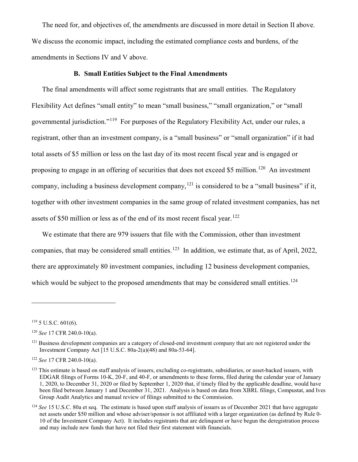The need for, and objectives of, the amendments are discussed in more detail in Section II above. We discuss the economic impact, including the estimated compliance costs and burdens, of the amendments in Sections IV and V above.

#### **B. Small Entities Subject to the Final Amendments**

The final amendments will affect some registrants that are small entities. The Regulatory Flexibility Act defines "small entity" to mean "small business," "small organization," or "small governmental jurisdiction."[119](#page-44-0) For purposes of the Regulatory Flexibility Act, under our rules, a registrant, other than an investment company, is a "small business" or "small organization" if it had total assets of \$5 million or less on the last day of its most recent fiscal year and is engaged or proposing to engage in an offering of securities that does not exceed \$5 million.<sup>120</sup> An investment company, including a business development company,  $121$  is considered to be a "small business" if it, together with other investment companies in the same group of related investment companies, has net assets of \$50 million or less as of the end of its most recent fiscal year.<sup>122</sup>

We estimate that there are 979 issuers that file with the Commission, other than investment companies, that may be considered small entities.<sup>[123](#page-44-4)</sup> In addition, we estimate that, as of April, 2022, there are approximately 80 investment companies, including 12 business development companies, which would be subject to the proposed amendments that may be considered small entities.<sup>[124](#page-44-5)</sup>

<span id="page-44-0"></span> $119$  5 U.S.C. 601(6).

<span id="page-44-1"></span><sup>120</sup> *See* 17 CFR 240.0-10(a).

<span id="page-44-2"></span> $121$  Business development companies are a category of closed-end investment company that are not registered under the Investment Company Act [15 U.S.C. 80a-2(a)(48) and 80a-53-64].

<span id="page-44-3"></span><sup>122</sup> *See* 17 CFR 240.0-10(a).

<span id="page-44-4"></span> $123$  This estimate is based on staff analysis of issuers, excluding co-registrants, subsidiaries, or asset-backed issuers, with EDGAR filings of Forms 10-K, 20-F, and 40-F, or amendments to these forms, filed during the calendar year of January 1, 2020, to December 31, 2020 or filed by September 1, 2020 that, if timely filed by the applicable deadline, would have been filed between January 1 and December 31, 2021. Analysis is based on data from XBRL filings, Compustat, and Ives Group Audit Analytics and manual review of filings submitted to the Commission.

<span id="page-44-5"></span><sup>&</sup>lt;sup>124</sup> See 15 U.S.C. 80a et seq. The estimate is based upon staff analysis of issuers as of December 2021 that have aggregate net assets under \$50 million and whose adviser/sponsor is not affiliated with a larger organization (as defined by Rule 0- 10 of the Investment Company Act). It includes registrants that are delinquent or have begun the deregistration process and may include new funds that have not filed their first statement with financials.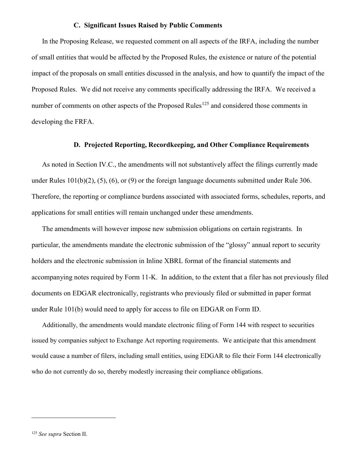#### **C. Significant Issues Raised by Public Comments**

In the Proposing Release, we requested comment on all aspects of the IRFA, including the number of small entities that would be affected by the Proposed Rules, the existence or nature of the potential impact of the proposals on small entities discussed in the analysis, and how to quantify the impact of the Proposed Rules. We did not receive any comments specifically addressing the IRFA. We received a number of comments on other aspects of the Proposed Rules<sup>[125](#page-45-0)</sup> and considered those comments in developing the FRFA.

### **D. Projected Reporting, Recordkeeping, and Other Compliance Requirements**

As noted in Section IV.C., the amendments will not substantively affect the filings currently made under Rules 101(b)(2), (5), (6), or (9) or the foreign language documents submitted under Rule 306. Therefore, the reporting or compliance burdens associated with associated forms, schedules, reports, and applications for small entities will remain unchanged under these amendments.

The amendments will however impose new submission obligations on certain registrants. In particular, the amendments mandate the electronic submission of the "glossy" annual report to security holders and the electronic submission in Inline XBRL format of the financial statements and accompanying notes required by Form 11-K. In addition, to the extent that a filer has not previously filed documents on EDGAR electronically, registrants who previously filed or submitted in paper format under Rule 101(b) would need to apply for access to file on EDGAR on Form ID.

Additionally, the amendments would mandate electronic filing of Form 144 with respect to securities issued by companies subject to Exchange Act reporting requirements. We anticipate that this amendment would cause a number of filers, including small entities, using EDGAR to file their Form 144 electronically who do not currently do so, thereby modestly increasing their compliance obligations.

<span id="page-45-0"></span><sup>125</sup> *See supra* Section II.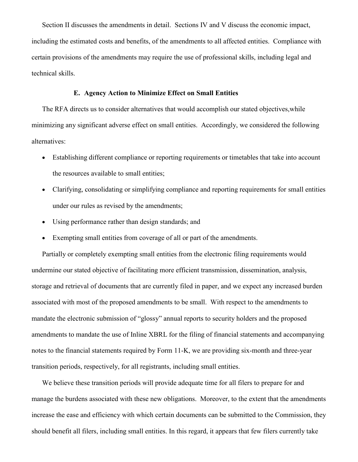Section II discusses the amendments in detail. Sections IV and V discuss the economic impact, including the estimated costs and benefits, of the amendments to all affected entities. Compliance with certain provisions of the amendments may require the use of professional skills, including legal and technical skills.

### **E. Agency Action to Minimize Effect on Small Entities**

The RFA directs us to consider alternatives that would accomplish our stated objectives,while minimizing any significant adverse effect on small entities. Accordingly, we considered the following alternatives:

- Establishing different compliance or reporting requirements or timetables that take into account the resources available to small entities;
- Clarifying, consolidating or simplifying compliance and reporting requirements for small entities under our rules as revised by the amendments;
- Using performance rather than design standards; and
- Exempting small entities from coverage of all or part of the amendments.

Partially or completely exempting small entities from the electronic filing requirements would undermine our stated objective of facilitating more efficient transmission, dissemination, analysis, storage and retrieval of documents that are currently filed in paper, and we expect any increased burden associated with most of the proposed amendments to be small. With respect to the amendments to mandate the electronic submission of "glossy" annual reports to security holders and the proposed amendments to mandate the use of Inline XBRL for the filing of financial statements and accompanying notes to the financial statements required by Form 11-K, we are providing six-month and three-year transition periods, respectively, for all registrants, including small entities.

We believe these transition periods will provide adequate time for all filers to prepare for and manage the burdens associated with these new obligations. Moreover, to the extent that the amendments increase the ease and efficiency with which certain documents can be submitted to the Commission, they should benefit all filers, including small entities. In this regard, it appears that few filers currently take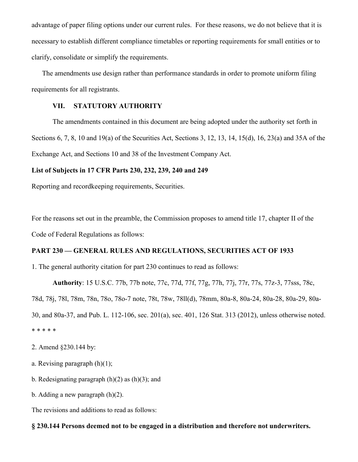advantage of paper filing options under our current rules. For these reasons, we do not believe that it is necessary to establish different compliance timetables or reporting requirements for small entities or to clarify, consolidate or simplify the requirements.

The amendments use design rather than performance standards in order to promote uniform filing requirements for all registrants.

# **VII. STATUTORY AUTHORITY**

The amendments contained in this document are being adopted under the authority set forth in Sections 6, 7, 8, 10 and 19(a) of the Securities Act, Sections 3, 12, 13, 14, 15(d), 16, 23(a) and 35A of the Exchange Act, and Sections 10 and 38 of the Investment Company Act.

# **List of Subjects in 17 CFR Parts 230, 232, 239, 240 and 249**

Reporting and recordkeeping requirements, Securities.

For the reasons set out in the preamble, the Commission proposes to amend title 17, chapter II of the Code of Federal Regulations as follows:

# **PART 230 — GENERAL RULES AND REGULATIONS, SECURITIES ACT OF 1933**

1. The general authority citation for part 230 continues to read as follows:

**Authority**: 15 U.S.C. 77b, 77b note, 77c, 77d, 77f, 77g, 77h, 77j, 77r, 77s, 77z-3, 77sss, 78c, 78d, 78j, 78l, 78m, 78n, 78o, 78o-7 note, 78t, 78w, 78ll(d), 78mm, 80a-8, 80a-24, 80a-28, 80a-29, 80a-30, and 80a-37, and Pub. L. 112-106, sec. 201(a), sec. 401, 126 Stat. 313 (2012), unless otherwise noted. \* \* \* \* \*

2. Amend §230.144 by:

- a. Revising paragraph (h)(1);
- b. Redesignating paragraph  $(h)(2)$  as  $(h)(3)$ ; and
- b. Adding a new paragraph (h)(2).

The revisions and additions to read as follows:

#### **§ 230.144 Persons deemed not to be engaged in a distribution and therefore not underwriters.**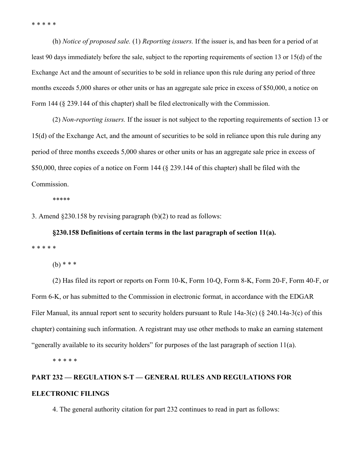\* \* \* \* \*

(h) *Notice of proposed sale.* (1) *Reporting issuers.* If the issuer is, and has been for a period of at least 90 days immediately before the sale, subject to the reporting requirements of section 13 or 15(d) of the Exchange Act and the amount of securities to be sold in reliance upon this rule during any period of three months exceeds 5,000 shares or other units or has an aggregate sale price in excess of \$50,000, a notice on Form 144 (§ 239.144 of this chapter) shall be filed electronically with the Commission.

(2) *Non-reporting issuers.* If the issuer is not subject to the reporting requirements of section 13 or 15(d) of the Exchange Act, and the amount of securities to be sold in reliance upon this rule during any period of three months exceeds 5,000 shares or other units or has an aggregate sale price in excess of \$50,000, three copies of a notice on Form 144 (§ 239.144 of this chapter) shall be filed with the Commission.

\*\*\*\*\*

3. Amend §230.158 by revising paragraph (b)(2) to read as follows:

**§230.158 Definitions of certain terms in the last paragraph of section 11(a).** \* \* \* \* \*

(b) \* \* \*

(2) Has filed its report or reports on Form 10-K, Form 10-Q, Form 8-K, Form 20-F, Form 40-F, or Form 6-K, or has submitted to the Commission in electronic format, in accordance with the EDGAR Filer Manual, its annual report sent to security holders pursuant to Rule 14a-3(c) (§ 240.14a-3(c) of this chapter) containing such information. A registrant may use other methods to make an earning statement "generally available to its security holders" for purposes of the last paragraph of section 11(a).

\* \* \* \* \*

# **PART 232 — REGULATION S-T — GENERAL RULES AND REGULATIONS FOR ELECTRONIC FILINGS**

4. The general authority citation for part 232 continues to read in part as follows: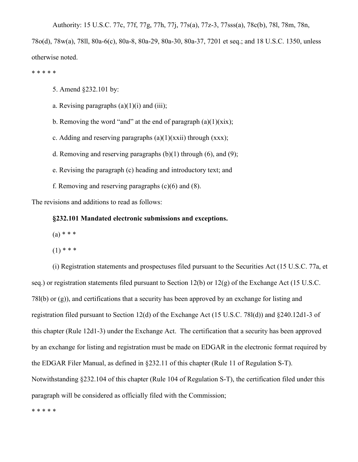Authority: 15 U.S.C. 77c, 77f, 77g, 77h, 77j, 77s(a), 77z-3, 77sss(a), 78c(b), 78l, 78m, 78n,

78o(d), 78w(a), 78ll, 80a-6(c), 80a-8, 80a-29, 80a-30, 80a-37, 7201 et seq.; and 18 U.S.C. 1350, unless otherwise noted.

\* \* \* \* \*

5. Amend §232.101 by:

a. Revising paragraphs  $(a)(1)(i)$  and  $(iii)$ ;

b. Removing the word "and" at the end of paragraph  $(a)(1)(\dot{x}ix)$ ;

c. Adding and reserving paragraphs  $(a)(1)(xxii)$  through  $(xxx)$ ;

d. Removing and reserving paragraphs  $(b)(1)$  through  $(6)$ , and  $(9)$ ;

e. Revising the paragraph (c) heading and introductory text; and

f. Removing and reserving paragraphs  $(c)(6)$  and  $(8)$ .

The revisions and additions to read as follows:

**§232.101 Mandated electronic submissions and exceptions.**

 $(a) * * * *$ 

 $(1)$  \* \* \*

(i) Registration statements and prospectuses filed pursuant to the Securities Act (15 U.S.C. 77a, et seq.) or registration statements filed pursuant to Section 12(b) or 12(g) of the Exchange Act (15 U.S.C. 78l(b) or (g)), and certifications that a security has been approved by an exchange for listing and registration filed pursuant to Section 12(d) of the Exchange Act (15 U.S.C. 78l(d)) and §240.12d1-3 of this chapter (Rule 12d1-3) under the Exchange Act. The certification that a security has been approved by an exchange for listing and registration must be made on EDGAR in the electronic format required by the EDGAR Filer Manual, as defined in §232.11 of this chapter (Rule 11 of Regulation S-T). Notwithstanding §232.104 of this chapter (Rule 104 of Regulation S-T), the certification filed under this paragraph will be considered as officially filed with the Commission;

\* \* \* \* \*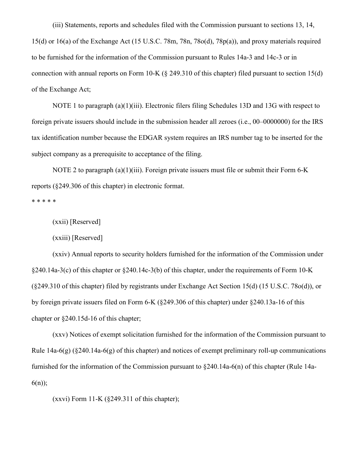(iii) Statements, reports and schedules filed with the Commission pursuant to sections 13, 14, 15(d) or 16(a) of the Exchange Act (15 U.S.C. 78m, 78n, 78o(d), 78p(a)), and proxy materials required to be furnished for the information of the Commission pursuant to Rules 14a-3 and 14c-3 or in connection with annual reports on Form 10-K (§ 249.310 of this chapter) filed pursuant to section 15(d) of the Exchange Act;

NOTE 1 to paragraph (a)(1)(iii). Electronic filers filing Schedules 13D and 13G with respect to foreign private issuers should include in the submission header all zeroes (i.e., 00–0000000) for the IRS tax identification number because the EDGAR system requires an IRS number tag to be inserted for the subject company as a prerequisite to acceptance of the filing.

NOTE 2 to paragraph (a)(1)(iii). Foreign private issuers must file or submit their Form 6-K reports (§249.306 of this chapter) in electronic format.

\* \* \* \* \*

(xxii) [Reserved]

(xxiii) [Reserved]

(xxiv) Annual reports to security holders furnished for the information of the Commission under  $§240.14a-3(c)$  of this chapter or  $§240.14c-3(b)$  of this chapter, under the requirements of Form 10-K (§249.310 of this chapter) filed by registrants under Exchange Act Section 15(d) (15 U.S.C. 78o(d)), or by foreign private issuers filed on Form 6-K (§249.306 of this chapter) under §240.13a-16 of this chapter or §240.15d-16 of this chapter;

(xxv) Notices of exempt solicitation furnished for the information of the Commission pursuant to Rule  $14a-6(g)$  (§240.14a-6(g) of this chapter) and notices of exempt preliminary roll-up communications furnished for the information of the Commission pursuant to §240.14a-6(n) of this chapter (Rule 14a- $6(n)$ ;

 $(xxyi)$  Form 11-K  $(\frac{249.311}{a}$  of this chapter);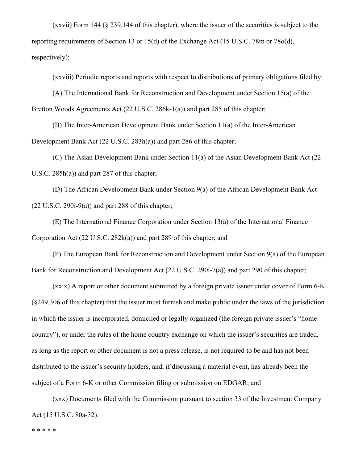(xxvii) Form 144 (§ 239.144 of this chapter), where the issuer of the securities is subject to the reporting requirements of Section 13 or 15(d) of the Exchange Act (15 U.S.C. 78m or 78o(d), respectively);

(xxviii) Periodic reports and reports with respect to distributions of primary obligations filed by:

(A) The International Bank for Reconstruction and Development under Section 15(a) of the Bretton Woods Agreements Act (22 U.S.C. 286k-1(a)) and part 285 of this chapter;

(B) The Inter-American Development Bank under Section 11(a) of the Inter-American Development Bank Act (22 U.S.C. 283h(a)) and part 286 of this chapter;

(C) The Asian Development Bank under Section 11(a) of the Asian Development Bank Act (22 U.S.C. 285h(a)) and part 287 of this chapter;

(D) The African Development Bank under Section 9(a) of the African Development Bank Act  $(22 \text{ U.S.C. } 290\text{i} - 9\text{(a)})$  and part 288 of this chapter;

(E) The International Finance Corporation under Section 13(a) of the International Finance Corporation Act (22 U.S.C. 282k(a)) and part 289 of this chapter; and

(F) The European Bank for Reconstruction and Development under Section 9(a) of the European Bank for Reconstruction and Development Act (22 U.S.C. 290l-7(a)) and part 290 of this chapter;

(xxix) A report or other document submitted by a foreign private issuer under cover of Form 6-K (§249.306 of this chapter) that the issuer must furnish and make public under the laws of the jurisdiction in which the issuer is incorporated, domiciled or legally organized (the foreign private issuer's "home country"), or under the rules of the home country exchange on which the issuer's securities are traded, as long as the report or other document is not a press release, is not required to be and has not been distributed to the issuer's security holders, and, if discussing a material event, has already been the subject of a Form 6-K or other Commission filing or submission on EDGAR; and

(xxx) Documents filed with the Commission pursuant to section 33 of the Investment Company Act (15 U.S.C. 80a-32).

\* \* \* \* \*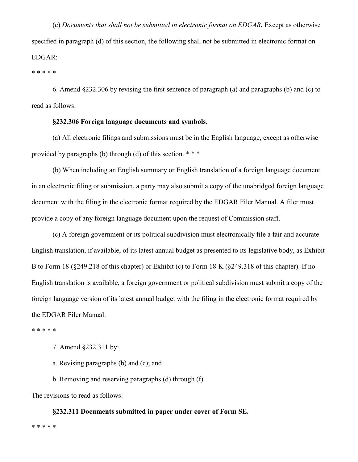(c) *Documents that shall not be submitted in electronic format on EDGAR***.** Except as otherwise specified in paragraph (d) of this section, the following shall not be submitted in electronic format on EDGAR:

\* \* \* \* \*

6. Amend §232.306 by revising the first sentence of paragraph (a) and paragraphs (b) and (c) to read as follows:

## **§232.306 Foreign language documents and symbols.**

(a) All electronic filings and submissions must be in the English language, except as otherwise provided by paragraphs (b) through (d) of this section. \* \* \*

(b) When including an English summary or English translation of a foreign language document in an electronic filing or submission, a party may also submit a copy of the unabridged foreign language document with the filing in the electronic format required by the EDGAR Filer Manual. A filer must provide a copy of any foreign language document upon the request of Commission staff.

(c) A foreign government or its political subdivision must electronically file a fair and accurate English translation, if available, of its latest annual budget as presented to its legislative body, as Exhibit B to Form 18 (§249.218 of this chapter) or Exhibit (c) to Form 18-K (§249.318 of this chapter). If no English translation is available, a foreign government or political subdivision must submit a copy of the foreign language version of its latest annual budget with the filing in the electronic format required by the EDGAR Filer Manual.

\* \* \* \* \*

- 7. Amend §232.311 by:
- a. Revising paragraphs (b) and (c); and
- b. Removing and reserving paragraphs (d) through (f).

The revisions to read as follows:

#### **§232.311 Documents submitted in paper under cover of Form SE.**

\* \* \* \* \*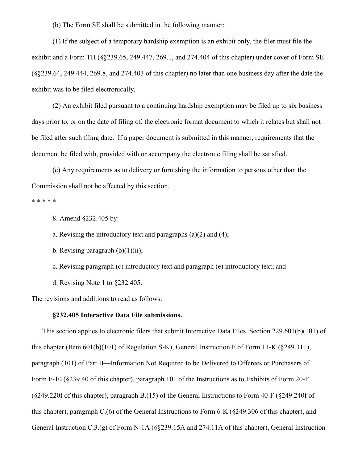(b) The Form SE shall be submitted in the following manner:

(1) If the subject of a temporary hardship exemption is an exhibit only, the filer must file the exhibit and a Form TH (§§239.65, 249.447, 269.1, and 274.404 of this chapter) under cover of Form SE (§§239.64, 249.444, 269.8, and 274.403 of this chapter) no later than one business day after the date the exhibit was to be filed electronically.

(2) An exhibit filed pursuant to a continuing hardship exemption may be filed up to six business days prior to, or on the date of filing of, the electronic format document to which it relates but shall not be filed after such filing date. If a paper document is submitted in this manner, requirements that the document be filed with, provided with or accompany the electronic filing shall be satisfied.

(c) Any requirements as to delivery or furnishing the information to persons other than the Commission shall not be affected by this section.

\* \* \* \* \*

8. Amend §232.405 by:

a. Revising the introductory text and paragraphs  $(a)(2)$  and  $(4)$ ;

b. Revising paragraph  $(b)(1)(ii)$ ;

c. Revising paragraph (c) introductory text and paragraph (e) introductory text; and

d. Revising Note 1 to §232.405.

The revisions and additions to read as follows:

## **§232.405 Interactive Data File submissions.**

This section applies to electronic filers that submit Interactive Data Files. Section 229.601(b)(101) of this chapter (Item 601(b)(101) of Regulation S-K), General Instruction F of Form 11-K (§249.311), paragraph (101) of Part II—Information Not Required to be Delivered to Offerees or Purchasers of Form F-10 (§239.40 of this chapter), paragraph 101 of the Instructions as to Exhibits of Form 20-F (§249.220f of this chapter), paragraph B.(15) of the General Instructions to Form 40-F (§249.240f of this chapter), paragraph C.(6) of the General Instructions to Form 6-K (§249.306 of this chapter), and General Instruction C.3.(g) of Form N-1A (§§239.15A and 274.11A of this chapter), General Instruction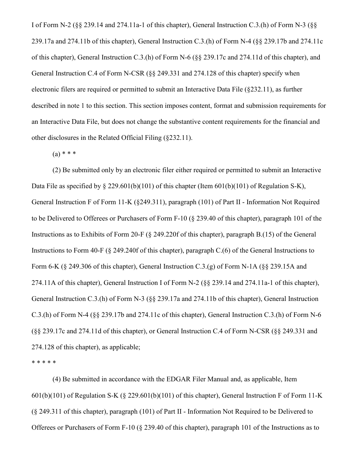I of Form N-2 (§§ 239.14 and 274.11a-1 of this chapter), General Instruction C.3.(h) of Form N-3 (§§ 239.17a and 274.11b of this chapter), General Instruction C.3.(h) of Form N-4 (§§ 239.17b and 274.11c of this chapter), General Instruction C.3.(h) of Form N-6 (§§ 239.17c and 274.11d of this chapter), and General Instruction C.4 of Form N-CSR (§§ 249.331 and 274.128 of this chapter) specify when electronic filers are required or permitted to submit an Interactive Data File (§232.11), as further described in note 1 to this section. This section imposes content, format and submission requirements for an Interactive Data File, but does not change the substantive content requirements for the financial and other disclosures in the Related Official Filing (§232.11).

 $(a) * * *$ 

(2) Be submitted only by an electronic filer either required or permitted to submit an Interactive Data File as specified by § 229.601(b)(101) of this chapter (Item 601(b)(101) of Regulation S-K), General Instruction F of Form 11-K (§249.311), paragraph (101) of Part II - Information Not Required to be Delivered to Offerees or Purchasers of Form F-10 (§ 239.40 of this chapter), paragraph 101 of the Instructions as to Exhibits of Form 20-F (§ 249.220f of this chapter), paragraph B.(15) of the General Instructions to Form 40-F (§ 249.240f of this chapter), paragraph C.(6) of the General Instructions to Form 6-K (§ 249.306 of this chapter), General Instruction C.3.(g) of Form N-1A (§§ 239.15A and 274.11A of this chapter), General Instruction I of Form N-2 (§§ 239.14 and 274.11a-1 of this chapter), General Instruction C.3.(h) of Form N-3 (§§ 239.17a and 274.11b of this chapter), General Instruction C.3.(h) of Form N-4 (§§ 239.17b and 274.11c of this chapter), General Instruction C.3.(h) of Form N-6 (§§ 239.17c and 274.11d of this chapter), or General Instruction C.4 of Form N-CSR (§§ 249.331 and 274.128 of this chapter), as applicable;

\* \* \* \* \*

(4) Be submitted in accordance with the EDGAR Filer Manual and, as applicable, Item  $601(b)(101)$  of Regulation S-K (§ 229.601(b)(101) of this chapter), General Instruction F of Form 11-K (§ 249.311 of this chapter), paragraph (101) of Part II - Information Not Required to be Delivered to Offerees or Purchasers of Form F-10 (§ 239.40 of this chapter), paragraph 101 of the Instructions as to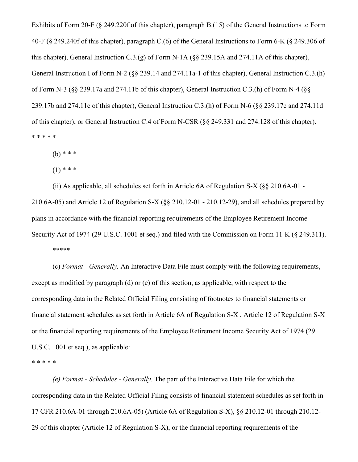Exhibits of Form 20-F (§ 249.220f of this chapter), paragraph B.(15) of the General Instructions to Form 40-F (§ 249.240f of this chapter), paragraph C.(6) of the General Instructions to Form 6-K (§ 249.306 of this chapter), General Instruction C.3.(g) of Form N-1A (§§ 239.15A and 274.11A of this chapter), General Instruction I of Form N-2 (§§ 239.14 and 274.11a-1 of this chapter), General Instruction C.3.(h) of Form N-3 (§§ 239.17a and 274.11b of this chapter), General Instruction C.3.(h) of Form N-4 (§§ 239.17b and 274.11c of this chapter), General Instruction C.3.(h) of Form N-6 (§§ 239.17c and 274.11d of this chapter); or General Instruction C.4 of Form N-CSR (§§ 249.331 and 274.128 of this chapter). \* \* \* \* \*

 $(b)$  \* \* \*

 $(1)$  \* \* \*

(ii) As applicable, all schedules set forth in Article 6A of Regulation S-X (§§ 210.6A-01 - 210.6A-05) and Article 12 of Regulation S-X (§§ 210.12-01 - 210.12-29), and all schedules prepared by plans in accordance with the financial reporting requirements of the Employee Retirement Income Security Act of 1974 (29 U.S.C. 1001 et seq.) and filed with the Commission on Form 11-K (§ 249.311). \*\*\*\*\*

(c) *Format - Generally.* An Interactive Data File must comply with the following requirements, except as modified by paragraph (d) or (e) of this section, as applicable, with respect to the corresponding data in the Related Official Filing consisting of footnotes to financial statements or financial statement schedules as set forth in Article 6A of Regulation S-X , Article 12 of Regulation S-X or the financial reporting requirements of the Employee Retirement Income Security Act of 1974 (29 U.S.C. 1001 et seq.), as applicable:

\* \* \* \* \*

*(e) Format - Schedules - Generally.* The part of the Interactive Data File for which the corresponding data in the Related Official Filing consists of financial statement schedules as set forth in 17 CFR 210.6A-01 through 210.6A-05) (Article 6A of Regulation S-X), §§ 210.12-01 through 210.12- 29 of this chapter (Article 12 of Regulation S-X), or the financial reporting requirements of the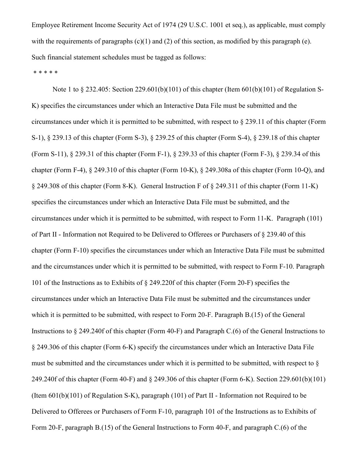Employee Retirement Income Security Act of 1974 (29 U.S.C. 1001 et seq.), as applicable, must comply with the requirements of paragraphs  $(c)(1)$  and  $(2)$  of this section, as modified by this paragraph (e). Such financial statement schedules must be tagged as follows:

\* \* \* \* \*

Note 1 to § 232.405: Section 229.601(b)(101) of this chapter (Item 601(b)(101) of Regulation S-K) specifies the circumstances under which an Interactive Data File must be submitted and the circumstances under which it is permitted to be submitted, with respect to § 239.11 of this chapter (Form S-1), § 239.13 of this chapter (Form S-3), § 239.25 of this chapter (Form S-4), § 239.18 of this chapter (Form S-11), § 239.31 of this chapter (Form F-1), § 239.33 of this chapter (Form F-3), § 239.34 of this chapter (Form F-4), § 249.310 of this chapter (Form 10-K), § 249.308a of this chapter (Form 10-Q), and § 249.308 of this chapter (Form 8-K). General Instruction F of § 249.311 of this chapter (Form 11-K) specifies the circumstances under which an Interactive Data File must be submitted, and the circumstances under which it is permitted to be submitted, with respect to Form 11-K. Paragraph (101) of Part II - Information not Required to be Delivered to Offerees or Purchasers of § 239.40 of this chapter (Form F-10) specifies the circumstances under which an Interactive Data File must be submitted and the circumstances under which it is permitted to be submitted, with respect to Form F-10. Paragraph 101 of the Instructions as to Exhibits of § 249.220f of this chapter (Form 20-F) specifies the circumstances under which an Interactive Data File must be submitted and the circumstances under which it is permitted to be submitted, with respect to Form 20-F. Paragraph B.(15) of the General Instructions to § 249.240f of this chapter (Form 40-F) and Paragraph C.(6) of the General Instructions to § 249.306 of this chapter (Form 6-K) specify the circumstances under which an Interactive Data File must be submitted and the circumstances under which it is permitted to be submitted, with respect to  $\delta$ 249.240f of this chapter (Form 40-F) and § 249.306 of this chapter (Form 6-K). Section 229.601(b)(101) (Item 601(b)(101) of Regulation S-K), paragraph (101) of Part II - Information not Required to be Delivered to Offerees or Purchasers of Form F-10, paragraph 101 of the Instructions as to Exhibits of Form 20-F, paragraph B.(15) of the General Instructions to Form 40-F, and paragraph C.(6) of the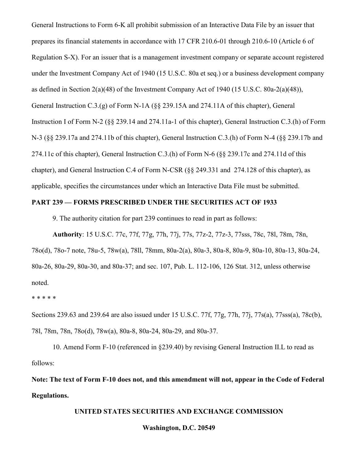General Instructions to Form 6-K all prohibit submission of an Interactive Data File by an issuer that prepares its financial statements in accordance with 17 CFR 210.6-01 through 210.6-10 (Article 6 of Regulation S-X). For an issuer that is a management investment company or separate account registered under the Investment Company Act of 1940 (15 U.S.C. 80a et seq.) or a business development company as defined in Section 2(a)(48) of the Investment Company Act of 1940 (15 U.S.C. 80a-2(a)(48)), General Instruction C.3.(g) of Form N-1A (§§ 239.15A and 274.11A of this chapter), General Instruction I of Form N-2 (§§ 239.14 and 274.11a-1 of this chapter), General Instruction C.3.(h) of Form N-3 (§§ 239.17a and 274.11b of this chapter), General Instruction C.3.(h) of Form N-4 (§§ 239.17b and 274.11c of this chapter), General Instruction C.3.(h) of Form N-6 (§§ 239.17c and 274.11d of this chapter), and General Instruction C.4 of Form N-CSR (§§ 249.331 and 274.128 of this chapter), as applicable, specifies the circumstances under which an Interactive Data File must be submitted.

# **PART 239 — FORMS PRESCRIBED UNDER THE SECURITIES ACT OF 1933**

9. The authority citation for part 239 continues to read in part as follows:

**Authority**: 15 U.S.C. 77c, 77f, 77g, 77h, 77j, 77s, 77z-2, 77z-3, 77sss, 78c, 78l, 78m, 78n, 78o(d), 78o-7 note, 78u-5, 78w(a), 78ll, 78mm, 80a-2(a), 80a-3, 80a-8, 80a-9, 80a-10, 80a-13, 80a-24, 80a-26, 80a-29, 80a-30, and 80a-37; and sec. 107, Pub. L. 112-106, 126 Stat. 312, unless otherwise noted.

\* \* \* \* \*

Sections 239.63 and 239.64 are also issued under 15 U.S.C. 77f, 77g, 77h, 77j, 77s(a), 77sss(a), 78c(b), 78l, 78m, 78n, 78o(d), 78w(a), 80a-8, 80a-24, 80a-29, and 80a-37.

10. Amend Form F-10 (referenced in §239.40) by revising General Instruction II.L to read as follows:

**Note: The text of Form F-10 does not, and this amendment will not, appear in the Code of Federal Regulations.**

#### **UNITED STATES SECURITIES AND EXCHANGE COMMISSION**

#### **Washington, D.C. 20549**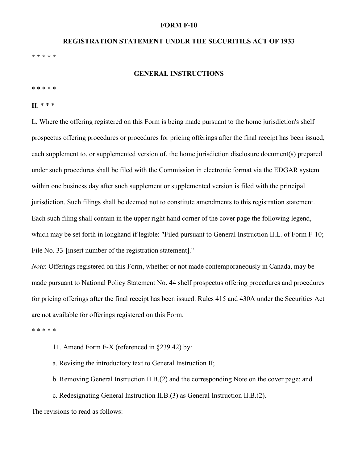#### **FORM F-10**

# **REGISTRATION STATEMENT UNDER THE SECURITIES ACT OF 1933 \* \* \* \* \***

#### **GENERAL INSTRUCTIONS**

#### \* \* \* \* \*

# **II**. \* \* \*

L. Where the offering registered on this Form is being made pursuant to the home jurisdiction's shelf prospectus offering procedures or procedures for pricing offerings after the final receipt has been issued, each supplement to, or supplemented version of, the home jurisdiction disclosure document(s) prepared under such procedures shall be filed with the Commission in electronic format via the EDGAR system within one business day after such supplement or supplemented version is filed with the principal jurisdiction. Such filings shall be deemed not to constitute amendments to this registration statement. Each such filing shall contain in the upper right hand corner of the cover page the following legend, which may be set forth in longhand if legible: "Filed pursuant to General Instruction II.L. of Form F-10; File No. 33-[insert number of the registration statement]."

*Note*: Offerings registered on this Form, whether or not made contemporaneously in Canada, may be made pursuant to National Policy Statement No. 44 shelf prospectus offering procedures and procedures for pricing offerings after the final receipt has been issued. Rules 415 and 430A under the Securities Act are not available for offerings registered on this Form.

\* \* \* \* \*

11. Amend Form F-X (referenced in §239.42) by:

a. Revising the introductory text to General Instruction II;

b. Removing General Instruction II.B.(2) and the corresponding Note on the cover page; and

c. Redesignating General Instruction II.B.(3) as General Instruction II.B.(2).

The revisions to read as follows: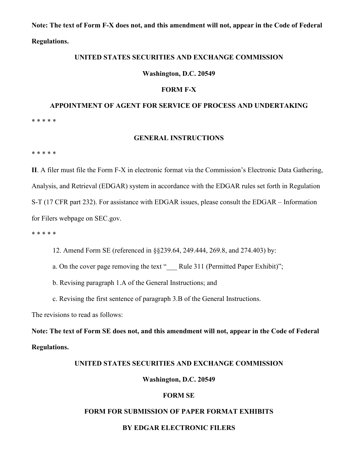**Note: The text of Form F-X does not, and this amendment will not, appear in the Code of Federal Regulations.**

### **UNITED STATES SECURITIES AND EXCHANGE COMMISSION**

#### **Washington, D.C. 20549**

#### **FORM F-X**

# **APPOINTMENT OF AGENT FOR SERVICE OF PROCESS AND UNDERTAKING** \* \* \* \* \*

#### **GENERAL INSTRUCTIONS**

\* \* \* \* \*

**II**. A filer must file the Form F-X in electronic format via the Commission's Electronic Data Gathering, Analysis, and Retrieval (EDGAR) system in accordance with the EDGAR rules set forth in Regulation S-T (17 CFR part 232). For assistance with EDGAR issues, please consult the EDGAR – Information for Filers webpage on SEC.gov.

\* \* \* \* \*

12. Amend Form SE (referenced in §§239.64, 249.444, 269.8, and 274.403) by:

a. On the cover page removing the text " Rule 311 (Permitted Paper Exhibit)";

b. Revising paragraph 1.A of the General Instructions; and

c. Revising the first sentence of paragraph 3.B of the General Instructions.

The revisions to read as follows:

**Note: The text of Form SE does not, and this amendment will not, appear in the Code of Federal Regulations.**

#### **UNITED STATES SECURITIES AND EXCHANGE COMMISSION**

#### **Washington, D.C. 20549**

## **FORM SE**

#### **FORM FOR SUBMISSION OF PAPER FORMAT EXHIBITS**

#### **BY EDGAR ELECTRONIC FILERS**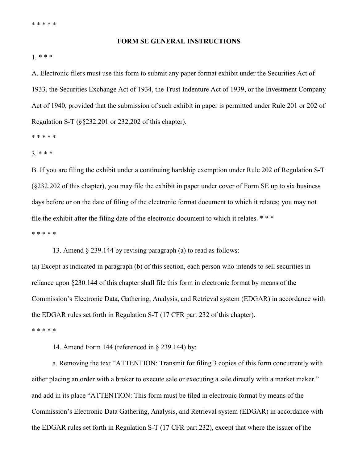#### **FORM SE GENERAL INSTRUCTIONS**

#### 1. \* \* \*

A. Electronic filers must use this form to submit any paper format exhibit under the Securities Act of 1933, the Securities Exchange Act of 1934, the Trust Indenture Act of 1939, or the Investment Company Act of 1940, provided that the submission of such exhibit in paper is permitted under Rule 201 or 202 of Regulation S-T (§§232.201 or 232.202 of this chapter).

\* \* \* \* \*

3. \* \* \*

B. If you are filing the exhibit under a continuing hardship exemption under Rule 202 of Regulation S-T (§232.202 of this chapter), you may file the exhibit in paper under cover of Form SE up to six business days before or on the date of filing of the electronic format document to which it relates; you may not file the exhibit after the filing date of the electronic document to which it relates. \* \* \* \* \* \* \* \*

13. Amend § 239.144 by revising paragraph (a) to read as follows:

(a) Except as indicated in paragraph (b) of this section, each person who intends to sell securities in reliance upon §230.144 of this chapter shall file this form in electronic format by means of the Commission's Electronic Data, Gathering, Analysis, and Retrieval system (EDGAR) in accordance with the EDGAR rules set forth in Regulation S-T (17 CFR part 232 of this chapter). \* \* \* \* \*

14. Amend Form 144 (referenced in § 239.144) by:

a. Removing the text "ATTENTION: Transmit for filing 3 copies of this form concurrently with either placing an order with a broker to execute sale or executing a sale directly with a market maker." and add in its place "ATTENTION: This form must be filed in electronic format by means of the Commission's Electronic Data Gathering, Analysis, and Retrieval system (EDGAR) in accordance with the EDGAR rules set forth in Regulation S-T (17 CFR part 232), except that where the issuer of the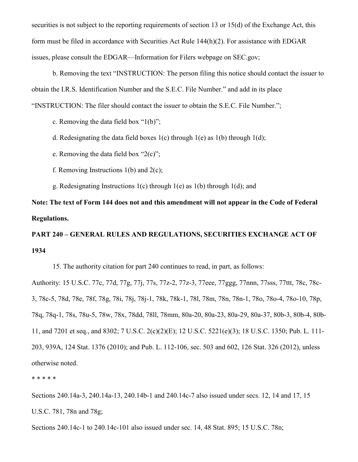securities is not subject to the reporting requirements of section 13 or 15(d) of the Exchange Act, this form must be filed in accordance with Securities Act Rule 144(h)(2). For assistance with EDGAR issues, please consult the EDGAR—Information for Filers webpage on SEC.gov;

b. Removing the text "INSTRUCTION: The person filing this notice should contact the issuer to obtain the I.R.S. Identification Number and the S.E.C. File Number." and add in its place "INSTRUCTION: The filer should contact the issuer to obtain the S.E.C. File Number.";

c. Removing the data field box "1(b)";

d. Redesignating the data field boxes  $1(c)$  through  $1(e)$  as  $1(b)$  through  $1(d)$ ;

e. Removing the data field box " $2(c)$ ";

f. Removing Instructions  $1(b)$  and  $2(c)$ ;

g. Redesignating Instructions  $1(c)$  through  $1(e)$  as  $1(b)$  through  $1(d)$ ; and

**Note: The text of Form 144 does not and this amendment will not appear in the Code of Federal Regulations.**

**PART 240 – GENERAL RULES AND REGULATIONS, SECURITIES EXCHANGE ACT OF 1934**

15. The authority citation for part 240 continues to read, in part, as follows:

Authority: 15 U.S.C. 77c, 77d, 77g, 77j, 77s, 77z-2, 77z-3, 77eee, 77ggg, 77nnn, 77sss, 77ttt, 78c, 78c-3, 78c-5, 78d, 78e, 78f, 78g, 78i, 78j, 78j-1, 78k, 78k-1, 78l, 78m, 78n, 78n-1, 78o, 78o-4, 78o-10, 78p, 78q, 78q-1, 78s, 78u-5, 78w, 78x, 78dd, 78ll, 78mm, 80a-20, 80a-23, 80a-29, 80a-37, 80b-3, 80b-4, 80b-11, and 7201 et seq., and 8302; 7 U.S.C. 2(c)(2)(E); 12 U.S.C. 5221(e)(3); 18 U.S.C. 1350; Pub. L. 111- 203, 939A, 124 Stat. 1376 (2010); and Pub. L. 112-106, sec. 503 and 602, 126 Stat. 326 (2012), unless otherwise noted.

\* \* \* \* \*

Sections 240.14a-3, 240.14a-13, 240.14b-1 and 240.14c-7 also issued under secs. 12, 14 and 17, 15 U.S.C. 781, 78n and 78g;

Sections 240.14c-1 to 240.14c-101 also issued under sec. 14, 48 Stat. 895; 15 U.S.C. 78n;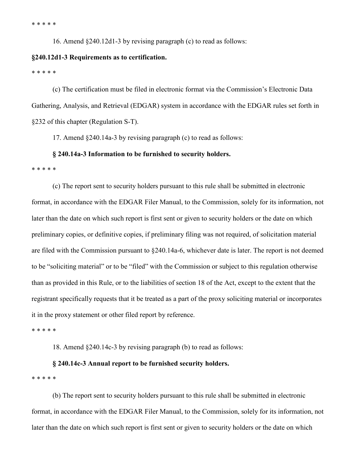\* \* \* \* \*

16. Amend §240.12d1-3 by revising paragraph (c) to read as follows:

#### **§240.12d1-3 Requirements as to certification.**

\* \* \* \* \*

(c) The certification must be filed in electronic format via the Commission's Electronic Data Gathering, Analysis, and Retrieval (EDGAR) system in accordance with the EDGAR rules set forth in §232 of this chapter (Regulation S-T).

17. Amend §240.14a-3 by revising paragraph (c) to read as follows:

## **§ 240.14a-3 Information to be furnished to security holders.**

\* \* \* \* \*

(c) The report sent to security holders pursuant to this rule shall be submitted in electronic format, in accordance with the EDGAR Filer Manual, to the Commission, solely for its information, not later than the date on which such report is first sent or given to security holders or the date on which preliminary copies, or definitive copies, if preliminary filing was not required, of solicitation material are filed with the Commission pursuant to §240.14a-6, whichever date is later. The report is not deemed to be "soliciting material" or to be "filed" with the Commission or subject to this regulation otherwise than as provided in this Rule, or to the liabilities of section 18 of the Act, except to the extent that the registrant specifically requests that it be treated as a part of the proxy soliciting material or incorporates it in the proxy statement or other filed report by reference.

\* \* \* \* \*

18. Amend §240.14c-3 by revising paragraph (b) to read as follows:

#### **§ 240.14c-3 Annual report to be furnished security holders.**

\* \* \* \* \*

(b) The report sent to security holders pursuant to this rule shall be submitted in electronic format, in accordance with the EDGAR Filer Manual, to the Commission, solely for its information, not later than the date on which such report is first sent or given to security holders or the date on which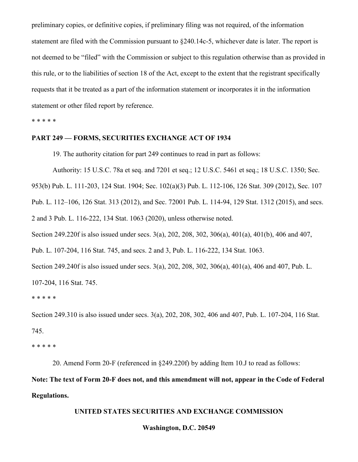preliminary copies, or definitive copies, if preliminary filing was not required, of the information statement are filed with the Commission pursuant to §240.14c-5, whichever date is later. The report is not deemed to be "filed" with the Commission or subject to this regulation otherwise than as provided in this rule, or to the liabilities of section 18 of the Act, except to the extent that the registrant specifically requests that it be treated as a part of the information statement or incorporates it in the information statement or other filed report by reference.

\* \* \* \* \*

#### **PART 249 — FORMS, SECURITIES EXCHANGE ACT OF 1934**

19. The authority citation for part 249 continues to read in part as follows:

Authority: 15 U.S.C. 78a et seq. and 7201 et seq.; 12 U.S.C. 5461 et seq.; 18 U.S.C. 1350; Sec.

953(b) Pub. L. 111-203, 124 Stat. 1904; Sec. 102(a)(3) Pub. L. 112-106, 126 Stat. 309 (2012), Sec. 107

Pub. L. 112–106, 126 Stat. 313 (2012), and Sec. 72001 Pub. L. 114-94, 129 Stat. 1312 (2015), and secs.

2 and 3 Pub. L. 116-222, 134 Stat. 1063 (2020), unless otherwise noted.

Section 249.220f is also issued under secs. 3(a), 202, 208, 302, 306(a), 401(a), 401(b), 406 and 407,

Pub. L. 107-204, 116 Stat. 745, and secs. 2 and 3, Pub. L. 116-222, 134 Stat. 1063.

Section 249.240f is also issued under secs. 3(a), 202, 208, 302, 306(a), 401(a), 406 and 407, Pub. L. 107-204, 116 Stat. 745.

\* \* \* \* \*

Section 249.310 is also issued under secs. 3(a), 202, 208, 302, 406 and 407, Pub. L. 107-204, 116 Stat. 745.

\* \* \* \* \*

20. Amend Form 20-F (referenced in §249.220f) by adding Item 10.J to read as follows:

**Note: The text of Form 20-F does not, and this amendment will not, appear in the Code of Federal Regulations.**

# **UNITED STATES SECURITIES AND EXCHANGE COMMISSION**

#### **Washington, D.C. 20549**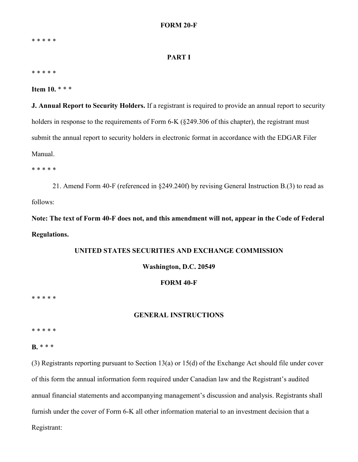\* \* \* \* \*

#### **PART I**

\* \* \* \* \*

**Item 10.** \* \* \*

**J. Annual Report to Security Holders.** If a registrant is required to provide an annual report to security holders in response to the requirements of Form 6-K (§249.306 of this chapter), the registrant must submit the annual report to security holders in electronic format in accordance with the EDGAR Filer Manual.

\* \* \* \* \*

21. Amend Form 40-F (referenced in §249.240f) by revising General Instruction B.(3) to read as follows:

**Note: The text of Form 40-F does not, and this amendment will not, appear in the Code of Federal Regulations.**

# **UNITED STATES SECURITIES AND EXCHANGE COMMISSION**

#### **Washington, D.C. 20549**

## **FORM 40-F**

\* \* \* \* \*

#### **GENERAL INSTRUCTIONS**

\* \* \* \* \*

**B.** \* \* \*

(3) Registrants reporting pursuant to Section 13(a) or 15(d) of the Exchange Act should file under cover of this form the annual information form required under Canadian law and the Registrant's audited annual financial statements and accompanying management's discussion and analysis. Registrants shall furnish under the cover of Form 6-K all other information material to an investment decision that a Registrant: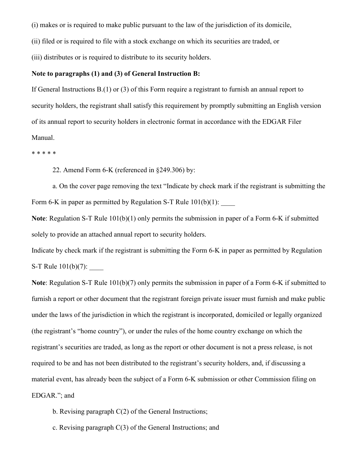(i) makes or is required to make public pursuant to the law of the jurisdiction of its domicile,

(ii) filed or is required to file with a stock exchange on which its securities are traded, or

(iii) distributes or is required to distribute to its security holders.

#### **Note to paragraphs (1) and (3) of General Instruction B:**

If General Instructions B.(1) or (3) of this Form require a registrant to furnish an annual report to security holders, the registrant shall satisfy this requirement by promptly submitting an English version of its annual report to security holders in electronic format in accordance with the EDGAR Filer Manual.

\* \* \* \* \*

22. Amend Form 6-K (referenced in §249.306) by:

a. On the cover page removing the text "Indicate by check mark if the registrant is submitting the Form 6-K in paper as permitted by Regulation S-T Rule  $101(b)(1)$ : \_\_\_\_\_\_

**Note**: Regulation S-T Rule 101(b)(1) only permits the submission in paper of a Form 6-K if submitted solely to provide an attached annual report to security holders.

Indicate by check mark if the registrant is submitting the Form 6-K in paper as permitted by Regulation S-T Rule  $101(b)(7)$ :

**Note**: Regulation S-T Rule 101(b)(7) only permits the submission in paper of a Form 6-K if submitted to furnish a report or other document that the registrant foreign private issuer must furnish and make public under the laws of the jurisdiction in which the registrant is incorporated, domiciled or legally organized (the registrant's "home country"), or under the rules of the home country exchange on which the registrant's securities are traded, as long as the report or other document is not a press release, is not required to be and has not been distributed to the registrant's security holders, and, if discussing a material event, has already been the subject of a Form 6-K submission or other Commission filing on EDGAR."; and

- b. Revising paragraph C(2) of the General Instructions;
- c. Revising paragraph C(3) of the General Instructions; and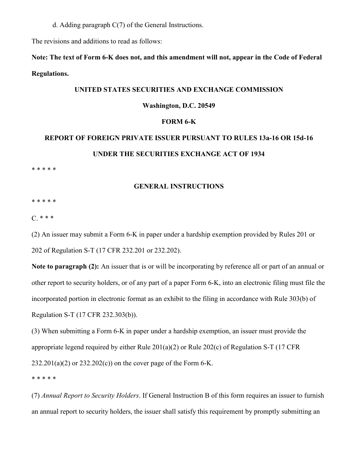d. Adding paragraph C(7) of the General Instructions.

The revisions and additions to read as follows:

**Note: The text of Form 6-K does not, and this amendment will not, appear in the Code of Federal Regulations.**

#### **UNITED STATES SECURITIES AND EXCHANGE COMMISSION**

## **Washington, D.C. 20549**

## **FORM 6-K**

# **REPORT OF FOREIGN PRIVATE ISSUER PURSUANT TO RULES 13a-16 OR 15d-16 UNDER THE SECURITIES EXCHANGE ACT OF 1934**

\* \* \* \* \*

### **GENERAL INSTRUCTIONS**

\* \* \* \* \*

 $C. * * *$ 

(2) An issuer may submit a Form 6-K in paper under a hardship exemption provided by Rules 201 or 202 of Regulation S-T (17 CFR 232.201 or 232.202).

**Note to paragraph (2):** An issuer that is or will be incorporating by reference all or part of an annual or other report to security holders, or of any part of a paper Form 6-K, into an electronic filing must file the incorporated portion in electronic format as an exhibit to the filing in accordance with Rule 303(b) of Regulation S-T (17 CFR 232.303(b)).

(3) When submitting a Form 6-K in paper under a hardship exemption, an issuer must provide the appropriate legend required by either Rule 201(a)(2) or Rule 202(c) of Regulation S-T (17 CFR  $232.201(a)(2)$  or  $232.202(c)$  on the cover page of the Form 6-K.

\* \* \* \* \*

(7) *Annual Report to Security Holders*. If General Instruction B of this form requires an issuer to furnish an annual report to security holders, the issuer shall satisfy this requirement by promptly submitting an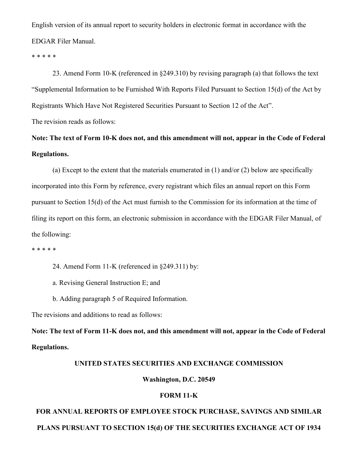English version of its annual report to security holders in electronic format in accordance with the EDGAR Filer Manual.

\* \* \* \* \*

23. Amend Form 10-K (referenced in §249.310) by revising paragraph (a) that follows the text "Supplemental Information to be Furnished With Reports Filed Pursuant to Section 15(d) of the Act by Registrants Which Have Not Registered Securities Pursuant to Section 12 of the Act". The revision reads as follows:

**Note: The text of Form 10-K does not, and this amendment will not, appear in the Code of Federal Regulations.**

(a) Except to the extent that the materials enumerated in (1) and/or (2) below are specifically incorporated into this Form by reference, every registrant which files an annual report on this Form pursuant to Section 15(d) of the Act must furnish to the Commission for its information at the time of filing its report on this form, an electronic submission in accordance with the EDGAR Filer Manual, of the following:

\* \* \* \* \*

24. Amend Form 11-K (referenced in §249.311) by:

a. Revising General Instruction E; and

b. Adding paragraph 5 of Required Information.

The revisions and additions to read as follows:

**Note: The text of Form 11-K does not, and this amendment will not, appear in the Code of Federal Regulations.**

#### **UNITED STATES SECURITIES AND EXCHANGE COMMISSION**

**Washington, D.C. 20549**

## **FORM 11-K**

# **FOR ANNUAL REPORTS OF EMPLOYEE STOCK PURCHASE, SAVINGS AND SIMILAR PLANS PURSUANT TO SECTION 15(d) OF THE SECURITIES EXCHANGE ACT OF 1934**